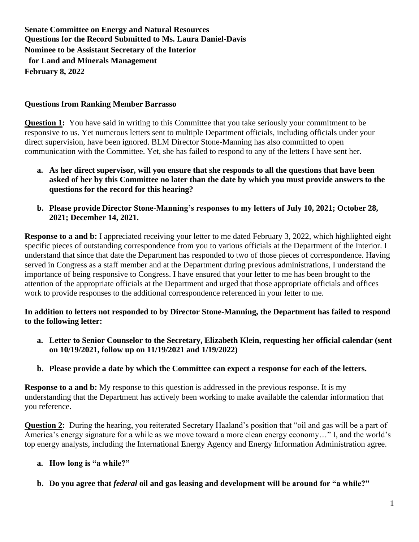#### **Questions from Ranking Member Barrasso**

**Question 1:** You have said in writing to this Committee that you take seriously your commitment to be responsive to us. Yet numerous letters sent to multiple Department officials, including officials under your direct supervision, have been ignored. BLM Director Stone-Manning has also committed to open communication with the Committee. Yet, she has failed to respond to any of the letters I have sent her.

- **a. As her direct supervisor, will you ensure that she responds to all the questions that have been asked of her by this Committee no later than the date by which you must provide answers to the questions for the record for this hearing?**
- **b. Please provide Director Stone-Manning's responses to my letters of July 10, 2021; October 28, 2021; December 14, 2021.**

**Response to a and b:** I appreciated receiving your letter to me dated February 3, 2022, which highlighted eight specific pieces of outstanding correspondence from you to various officials at the Department of the Interior. I understand that since that date the Department has responded to two of those pieces of correspondence. Having served in Congress as a staff member and at the Department during previous administrations, I understand the importance of being responsive to Congress. I have ensured that your letter to me has been brought to the attention of the appropriate officials at the Department and urged that those appropriate officials and offices work to provide responses to the additional correspondence referenced in your letter to me.

#### **In addition to letters not responded to by Director Stone-Manning, the Department has failed to respond to the following letter:**

- **a. Letter to Senior Counselor to the Secretary, Elizabeth Klein, requesting her official calendar (sent on 10/19/2021, follow up on 11/19/2021 and 1/19/2022)**
- **b. Please provide a date by which the Committee can expect a response for each of the letters.**

**Response to a and b:** My response to this question is addressed in the previous response. It is my understanding that the Department has actively been working to make available the calendar information that you reference.

**Question 2:** During the hearing, you reiterated Secretary Haaland's position that "oil and gas will be a part of America's energy signature for a while as we move toward a more clean energy economy…" I, and the world's top energy analysts, including the International Energy Agency and Energy Information Administration agree.

#### **a. How long is "a while?"**

**b. Do you agree that** *federal* **oil and gas leasing and development will be around for "a while?"**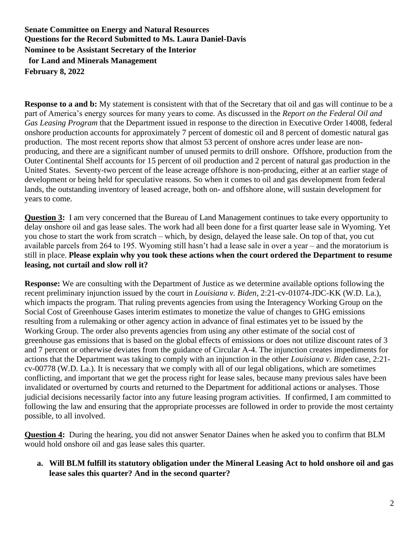**Response to a and b:** My statement is consistent with that of the Secretary that oil and gas will continue to be a part of America's energy sources for many years to come. As discussed in the *Report on the Federal Oil and Gas Leasing Program* that the Department issued in response to the direction in Executive Order 14008, federal onshore production accounts for approximately 7 percent of domestic oil and 8 percent of domestic natural gas production. The most recent reports show that almost 53 percent of onshore acres under lease are nonproducing, and there are a significant number of unused permits to drill onshore. Offshore, production from the Outer Continental Shelf accounts for 15 percent of oil production and 2 percent of natural gas production in the United States. Seventy-two percent of the lease acreage offshore is non-producing, either at an earlier stage of development or being held for speculative reasons. So when it comes to oil and gas development from federal lands, the outstanding inventory of leased acreage, both on- and offshore alone, will sustain development for years to come.

**Question 3:** I am very concerned that the Bureau of Land Management continues to take every opportunity to delay onshore oil and gas lease sales. The work had all been done for a first quarter lease sale in Wyoming. Yet you chose to start the work from scratch – which, by design, delayed the lease sale. On top of that, you cut available parcels from 264 to 195. Wyoming still hasn't had a lease sale in over a year – and the moratorium is still in place. **Please explain why you took these actions when the court ordered the Department to resume leasing, not curtail and slow roll it?**

**Response:** We are consulting with the Department of Justice as we determine available options following the recent preliminary injunction issued by the court in *Louisiana v. Biden*, 2:21-cv-01074-JDC-KK (W.D. La.), which impacts the program. That ruling prevents agencies from using the Interagency Working Group on the Social Cost of Greenhouse Gases interim estimates to monetize the value of changes to GHG emissions resulting from a rulemaking or other agency action in advance of final estimates yet to be issued by the Working Group. The order also prevents agencies from using any other estimate of the social cost of greenhouse gas emissions that is based on the global effects of emissions or does not utilize discount rates of 3 and 7 percent or otherwise deviates from the guidance of Circular A-4. The injunction creates impediments for actions that the Department was taking to comply with an injunction in the other *Louisiana v. Biden* case, 2:21 cv-00778 (W.D. La.). It is necessary that we comply with all of our legal obligations, which are sometimes conflicting, and important that we get the process right for lease sales, because many previous sales have been invalidated or overturned by courts and returned to the Department for additional actions or analyses. Those judicial decisions necessarily factor into any future leasing program activities. If confirmed, I am committed to following the law and ensuring that the appropriate processes are followed in order to provide the most certainty possible, to all involved.

**Question 4:** During the hearing, you did not answer Senator Daines when he asked you to confirm that BLM would hold onshore oil and gas lease sales this quarter.

**a. Will BLM fulfill its statutory obligation under the Mineral Leasing Act to hold onshore oil and gas lease sales this quarter? And in the second quarter?**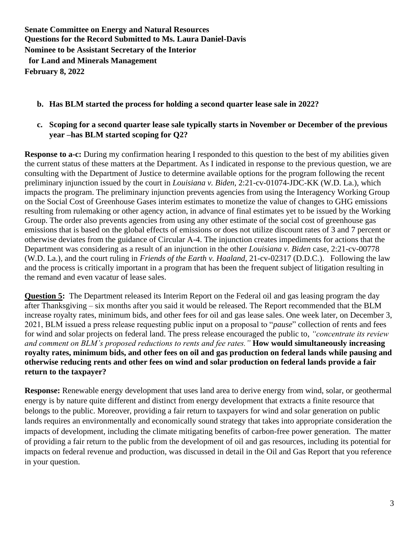**February 8, 2022**

### **b. Has BLM started the process for holding a second quarter lease sale in 2022?**

### **c. Scoping for a second quarter lease sale typically starts in November or December of the previous year –has BLM started scoping for Q2?**

**Response to a-c:** During my confirmation hearing I responded to this question to the best of my abilities given the current status of these matters at the Department. As I indicated in response to the previous question, we are consulting with the Department of Justice to determine available options for the program following the recent preliminary injunction issued by the court in *Louisiana v. Biden*, 2:21-cv-01074-JDC-KK (W.D. La.), which impacts the program. The preliminary injunction prevents agencies from using the Interagency Working Group on the Social Cost of Greenhouse Gases interim estimates to monetize the value of changes to GHG emissions resulting from rulemaking or other agency action, in advance of final estimates yet to be issued by the Working Group. The order also prevents agencies from using any other estimate of the social cost of greenhouse gas emissions that is based on the global effects of emissions or does not utilize discount rates of 3 and 7 percent or otherwise deviates from the guidance of Circular A-4. The injunction creates impediments for actions that the Department was considering as a result of an injunction in the other *Louisiana v. Biden* case, 2:21-cv-00778 (W.D. La.), and the court ruling in *Friends of the Earth v. Haaland,* 21-cv-02317 (D.D.C.). Following the law and the process is critically important in a program that has been the frequent subject of litigation resulting in the remand and even vacatur of lease sales.

**Question 5:** The Department released its Interim Report on the Federal oil and gas leasing program the day after Thanksgiving – six months after you said it would be released. The Report recommended that the BLM increase royalty rates, minimum bids, and other fees for oil and gas lease sales. One week later, on December 3, 2021, BLM issued a press release requesting public input on a proposal to "*pause*" collection of rents and fees for wind and solar projects on federal land. The press release encouraged the public to, *"concentrate its review and comment on BLM's proposed reductions to rents and fee rates."* **How would simultaneously increasing royalty rates, minimum bids, and other fees on oil and gas production on federal lands while pausing and otherwise reducing rents and other fees on wind and solar production on federal lands provide a fair return to the taxpayer?**

**Response:** Renewable energy development that uses land area to derive energy from wind, solar, or geothermal energy is by nature quite different and distinct from energy development that extracts a finite resource that belongs to the public. Moreover, providing a fair return to taxpayers for wind and solar generation on public lands requires an environmentally and economically sound strategy that takes into appropriate consideration the impacts of development, including the climate mitigating benefits of carbon-free power generation. The matter of providing a fair return to the public from the development of oil and gas resources, including its potential for impacts on federal revenue and production, was discussed in detail in the Oil and Gas Report that you reference in your question.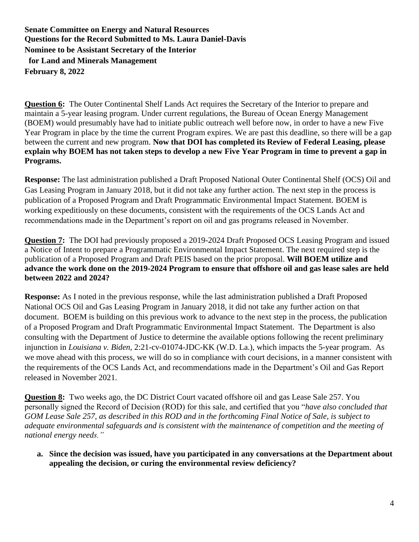**Question 6:** The Outer Continental Shelf Lands Act requires the Secretary of the Interior to prepare and maintain a 5-year leasing program. Under current regulations, the Bureau of Ocean Energy Management (BOEM) would presumably have had to initiate public outreach well before now, in order to have a new Five Year Program in place by the time the current Program expires. We are past this deadline, so there will be a gap between the current and new program. **Now that DOI has completed its Review of Federal Leasing, please explain why BOEM has not taken steps to develop a new Five Year Program in time to prevent a gap in Programs.**

**Response:** The last administration published a Draft Proposed National Outer Continental Shelf (OCS) Oil and Gas Leasing Program in January 2018, but it did not take any further action. The next step in the process is publication of a Proposed Program and Draft Programmatic Environmental Impact Statement. BOEM is working expeditiously on these documents, consistent with the requirements of the OCS Lands Act and recommendations made in the Department's report on oil and gas programs released in November.

**Question 7:** The DOI had previously proposed a 2019-2024 Draft Proposed OCS Leasing Program and issued a Notice of Intent to prepare a Programmatic Environmental Impact Statement. The next required step is the publication of a Proposed Program and Draft PEIS based on the prior proposal. **Will BOEM utilize and advance the work done on the 2019-2024 Program to ensure that offshore oil and gas lease sales are held between 2022 and 2024?**

**Response:** As I noted in the previous response, while the last administration published a Draft Proposed National OCS Oil and Gas Leasing Program in January 2018, it did not take any further action on that document. BOEM is building on this previous work to advance to the next step in the process, the publication of a Proposed Program and Draft Programmatic Environmental Impact Statement. The Department is also consulting with the Department of Justice to determine the available options following the recent preliminary injunction in *Louisiana v. Biden*, 2:21-cv-01074-JDC-KK (W.D. La.), which impacts the 5-year program. As we move ahead with this process, we will do so in compliance with court decisions, in a manner consistent with the requirements of the OCS Lands Act, and recommendations made in the Department's Oil and Gas Report released in November 2021.

**Question 8:** Two weeks ago, the DC District Court vacated offshore oil and gas Lease Sale 257. You personally signed the Record of Decision (ROD) for this sale, and certified that you "*have also concluded that GOM Lease Sale 257, as described in this ROD and in the forthcoming Final Notice of Sale, is subject to adequate environmental safeguards and is consistent with the maintenance of competition and the meeting of national energy needs."*

**a. Since the decision was issued, have you participated in any conversations at the Department about appealing the decision, or curing the environmental review deficiency?**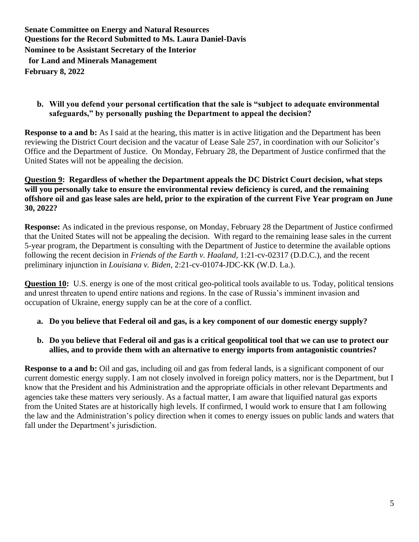### **b. Will you defend your personal certification that the sale is "subject to adequate environmental safeguards," by personally pushing the Department to appeal the decision?**

**Response to a and b:** As I said at the hearing, this matter is in active litigation and the Department has been reviewing the District Court decision and the vacatur of Lease Sale 257, in coordination with our Solicitor's Office and the Department of Justice. On Monday, February 28, the Department of Justice confirmed that the United States will not be appealing the decision.

#### **Question 9: Regardless of whether the Department appeals the DC District Court decision, what steps will you personally take to ensure the environmental review deficiency is cured, and the remaining offshore oil and gas lease sales are held, prior to the expiration of the current Five Year program on June 30, 2022?**

**Response:** As indicated in the previous response, on Monday, February 28 the Department of Justice confirmed that the United States will not be appealing the decision. With regard to the remaining lease sales in the current 5-year program, the Department is consulting with the Department of Justice to determine the available options following the recent decision in *Friends of the Earth v. Haaland*, 1:21-cv-02317 (D.D.C.), and the recent preliminary injunction in *Louisiana v. Biden*, 2:21-cv-01074-JDC-KK (W.D. La.).

**Question 10:** U.S. energy is one of the most critical geo-political tools available to us. Today, political tensions and unrest threaten to upend entire nations and regions. In the case of Russia's imminent invasion and occupation of Ukraine, energy supply can be at the core of a conflict.

- **a. Do you believe that Federal oil and gas, is a key component of our domestic energy supply?**
- **b. Do you believe that Federal oil and gas is a critical geopolitical tool that we can use to protect our allies, and to provide them with an alternative to energy imports from antagonistic countries?**

**Response to a and b:** Oil and gas, including oil and gas from federal lands, is a significant component of our current domestic energy supply. I am not closely involved in foreign policy matters, nor is the Department, but I know that the President and his Administration and the appropriate officials in other relevant Departments and agencies take these matters very seriously. As a factual matter, I am aware that liquified natural gas exports from the United States are at historically high levels. If confirmed, I would work to ensure that I am following the law and the Administration's policy direction when it comes to energy issues on public lands and waters that fall under the Department's jurisdiction.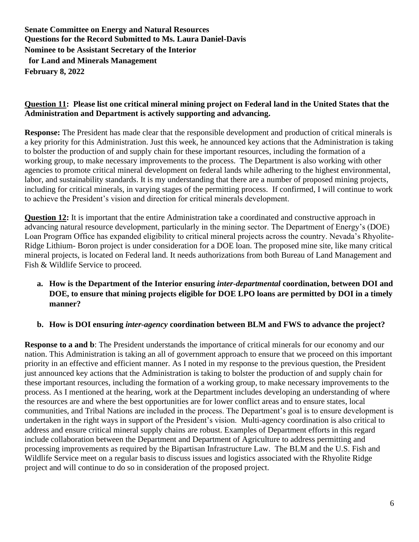### **Question 11: Please list one critical mineral mining project on Federal land in the United States that the Administration and Department is actively supporting and advancing.**

**Response:** The President has made clear that the responsible development and production of critical minerals is a key priority for this Administration. Just this week, he announced key actions that the Administration is taking to bolster the production of and supply chain for these important resources, including the formation of a working group, to make necessary improvements to the process. The Department is also working with other agencies to promote critical mineral development on federal lands while adhering to the highest environmental, labor, and sustainability standards. It is my understanding that there are a number of proposed mining projects, including for critical minerals, in varying stages of the permitting process. If confirmed, I will continue to work to achieve the President's vision and direction for critical minerals development.

**Question 12:** It is important that the entire Administration take a coordinated and constructive approach in advancing natural resource development, particularly in the mining sector. The Department of Energy's (DOE) Loan Program Office has expanded eligibility to critical mineral projects across the country. Nevada's Rhyolite-Ridge Lithium- Boron project is under consideration for a DOE loan. The proposed mine site, like many critical mineral projects, is located on Federal land. It needs authorizations from both Bureau of Land Management and Fish & Wildlife Service to proceed.

**a. How is the Department of the Interior ensuring** *inter-departmental* **coordination, between DOI and DOE, to ensure that mining projects eligible for DOE LPO loans are permitted by DOI in a timely manner?**

#### **b. How is DOI ensuring** *inter-agency* **coordination between BLM and FWS to advance the project?**

**Response to a and b**: The President understands the importance of critical minerals for our economy and our nation. This Administration is taking an all of government approach to ensure that we proceed on this important priority in an effective and efficient manner. As I noted in my response to the previous question, the President just announced key actions that the Administration is taking to bolster the production of and supply chain for these important resources, including the formation of a working group, to make necessary improvements to the process. As I mentioned at the hearing, work at the Department includes developing an understanding of where the resources are and where the best opportunities are for lower conflict areas and to ensure states, local communities, and Tribal Nations are included in the process. The Department's goal is to ensure development is undertaken in the right ways in support of the President's vision. Multi-agency coordination is also critical to address and ensure critical mineral supply chains are robust. Examples of Department efforts in this regard include collaboration between the Department and Department of Agriculture to address permitting and processing improvements as required by the Bipartisan Infrastructure Law. The BLM and the U.S. Fish and Wildlife Service meet on a regular basis to discuss issues and logistics associated with the Rhyolite Ridge project and will continue to do so in consideration of the proposed project.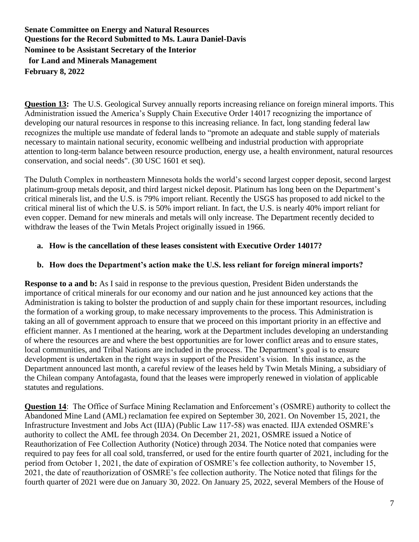**Question 13:** The U.S. Geological Survey annually reports increasing reliance on foreign mineral imports. This Administration issued the America's Supply Chain Executive Order 14017 recognizing the importance of developing our natural resources in response to this increasing reliance. In fact, long standing federal law recognizes the multiple use mandate of federal lands to "promote an adequate and stable supply of materials necessary to maintain national security, economic wellbeing and industrial production with appropriate attention to long-term balance between resource production, energy use, a health environment, natural resources conservation, and social needs". (30 USC 1601 et seq).

The Duluth Complex in northeastern Minnesota holds the world's second largest copper deposit, second largest platinum-group metals deposit, and third largest nickel deposit. Platinum has long been on the Department's critical minerals list, and the U.S. is 79% import reliant. Recently the USGS has proposed to add nickel to the critical mineral list of which the U.S. is 50% import reliant. In fact, the U.S. is nearly 40% import reliant for even copper. Demand for new minerals and metals will only increase. The Department recently decided to withdraw the leases of the Twin Metals Project originally issued in 1966.

#### **a. How is the cancellation of these leases consistent with Executive Order 14017?**

### **b. How does the Department's action make the U.S. less reliant for foreign mineral imports?**

**Response to a and b:** As I said in response to the previous question, President Biden understands the importance of critical minerals for our economy and our nation and he just announced key actions that the Administration is taking to bolster the production of and supply chain for these important resources, including the formation of a working group, to make necessary improvements to the process. This Administration is taking an all of government approach to ensure that we proceed on this important priority in an effective and efficient manner. As I mentioned at the hearing, work at the Department includes developing an understanding of where the resources are and where the best opportunities are for lower conflict areas and to ensure states, local communities, and Tribal Nations are included in the process. The Department's goal is to ensure development is undertaken in the right ways in support of the President's vision. In this instance, as the Department announced last month, a careful review of the leases held by Twin Metals Mining, a subsidiary of the Chilean company Antofagasta, found that the leases were improperly renewed in violation of applicable statutes and regulations.

**Question 14**: The Office of Surface Mining Reclamation and Enforcement's (OSMRE) authority to collect the Abandoned Mine Land (AML) reclamation fee expired on September 30, 2021. On November 15, 2021, the Infrastructure Investment and Jobs Act (IIJA) (Public Law 117-58) was enacted. IIJA extended OSMRE's authority to collect the AML fee through 2034. On December 21, 2021, OSMRE issued a Notice of Reauthorization of Fee Collection Authority (Notice) through 2034. The Notice noted that companies were required to pay fees for all coal sold, transferred, or used for the entire fourth quarter of 2021, including for the period from October 1, 2021, the date of expiration of OSMRE's fee collection authority, to November 15, 2021, the date of reauthorization of OSMRE's fee collection authority. The Notice noted that filings for the fourth quarter of 2021 were due on January 30, 2022. On January 25, 2022, several Members of the House of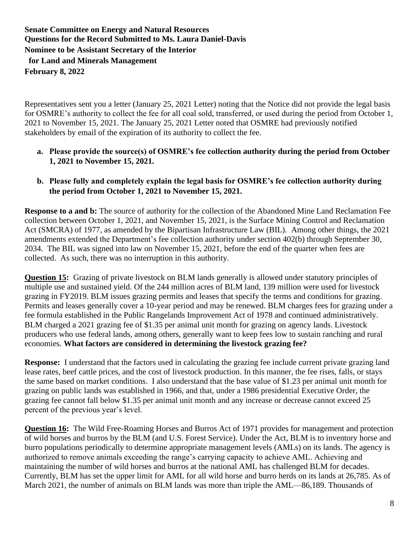Representatives sent you a letter (January 25, 2021 Letter) noting that the Notice did not provide the legal basis for OSMRE's authority to collect the fee for all coal sold, transferred, or used during the period from October 1, 2021 to November 15, 2021. The January 25, 2021 Letter noted that OSMRE had previously notified stakeholders by email of the expiration of its authority to collect the fee.

### **a. Please provide the source(s) of OSMRE's fee collection authority during the period from October 1, 2021 to November 15, 2021.**

**b. Please fully and completely explain the legal basis for OSMRE's fee collection authority during the period from October 1, 2021 to November 15, 2021.**

**Response to a and b:** The source of authority for the collection of the Abandoned Mine Land Reclamation Fee collection between October 1, 2021, and November 15, 2021, is the Surface Mining Control and Reclamation Act (SMCRA) of 1977, as amended by the Bipartisan Infrastructure Law (BIL). Among other things, the 2021 amendments extended the Department's fee collection authority under section 402(b) through September 30, 2034. The BIL was signed into law on November 15, 2021, before the end of the quarter when fees are collected. As such, there was no interruption in this authority.

**Question 15:** Grazing of private livestock on BLM lands generally is allowed under statutory principles of multiple use and sustained yield. Of the 244 million acres of BLM land, 139 million were used for livestock grazing in FY2019. BLM issues grazing permits and leases that specify the terms and conditions for grazing. Permits and leases generally cover a 10-year period and may be renewed. BLM charges fees for grazing under a fee formula established in the Public Rangelands Improvement Act of 1978 and continued administratively. BLM charged a 2021 grazing fee of \$1.35 per animal unit month for grazing on agency lands. Livestock producers who use federal lands, among others, generally want to keep fees low to sustain ranching and rural economies. **What factors are considered in determining the livestock grazing fee?**

**Response:** I understand that the factors used in calculating the grazing fee include current private grazing land lease rates, beef cattle prices, and the cost of livestock production. In this manner, the fee rises, falls, or stays the same based on market conditions. I also understand that the base value of \$1.23 per animal unit month for grazing on public lands was established in 1966, and that, under a 1986 presidential Executive Order, the grazing fee cannot fall below \$1.35 per animal unit month and any increase or decrease cannot exceed 25 percent of the previous year's level.

**Question 16:** The Wild Free-Roaming Horses and Burros Act of 1971 provides for management and protection of wild horses and burros by the BLM (and U.S. Forest Service). Under the Act, BLM is to inventory horse and burro populations periodically to determine appropriate management levels (AMLs) on its lands. The agency is authorized to remove animals exceeding the range's carrying capacity to achieve AML. Achieving and maintaining the number of wild horses and burros at the national AML has challenged BLM for decades. Currently, BLM has set the upper limit for AML for all wild horse and burro herds on its lands at 26,785. As of March 2021, the number of animals on BLM lands was more than triple the AML—86,189. Thousands of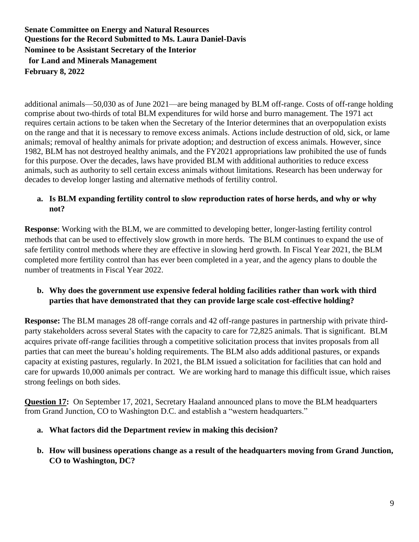additional animals—50,030 as of June 2021—are being managed by BLM off-range. Costs of off-range holding comprise about two-thirds of total BLM expenditures for wild horse and burro management. The 1971 act requires certain actions to be taken when the Secretary of the Interior determines that an overpopulation exists on the range and that it is necessary to remove excess animals. Actions include destruction of old, sick, or lame animals; removal of healthy animals for private adoption; and destruction of excess animals. However, since 1982, BLM has not destroyed healthy animals, and the FY2021 appropriations law prohibited the use of funds for this purpose. Over the decades, laws have provided BLM with additional authorities to reduce excess animals, such as authority to sell certain excess animals without limitations. Research has been underway for decades to develop longer lasting and alternative methods of fertility control.

# **a. Is BLM expanding fertility control to slow reproduction rates of horse herds, and why or why not?**

**Response**: Working with the BLM, we are committed to developing better, longer-lasting fertility control methods that can be used to effectively slow growth in more herds. The BLM continues to expand the use of safe fertility control methods where they are effective in slowing herd growth. In Fiscal Year 2021, the BLM completed more fertility control than has ever been completed in a year, and the agency plans to double the number of treatments in Fiscal Year 2022.

# **b. Why does the government use expensive federal holding facilities rather than work with third parties that have demonstrated that they can provide large scale cost-effective holding?**

**Response:** The BLM manages 28 off-range corrals and 42 off-range pastures in partnership with private thirdparty stakeholders across several States with the capacity to care for 72,825 animals. That is significant. BLM acquires private off-range facilities through a competitive solicitation process that invites proposals from all parties that can meet the bureau's holding requirements. The BLM also adds additional pastures, or expands capacity at existing pastures, regularly. In 2021, the BLM issued a solicitation for facilities that can hold and care for upwards 10,000 animals per contract. We are working hard to manage this difficult issue, which raises strong feelings on both sides.

**Question 17:** On September 17, 2021, Secretary Haaland announced plans to move the BLM headquarters from Grand Junction, CO to Washington D.C. and establish a "western headquarters."

# **a. What factors did the Department review in making this decision?**

**b. How will business operations change as a result of the headquarters moving from Grand Junction, CO to Washington, DC?**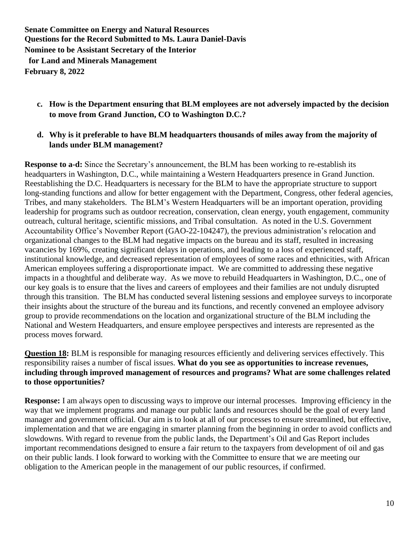- **c. How is the Department ensuring that BLM employees are not adversely impacted by the decision to move from Grand Junction, CO to Washington D.C.?**
- **d. Why is it preferable to have BLM headquarters thousands of miles away from the majority of lands under BLM management?**

**Response to a-d:** Since the Secretary's announcement, the BLM has been working to re-establish its headquarters in Washington, D.C., while maintaining a Western Headquarters presence in Grand Junction. Reestablishing the D.C. Headquarters is necessary for the BLM to have the appropriate structure to support long-standing functions and allow for better engagement with the Department, Congress, other federal agencies, Tribes, and many stakeholders. The BLM's Western Headquarters will be an important operation, providing leadership for programs such as outdoor recreation, conservation, clean energy, youth engagement, community outreach, cultural heritage, scientific missions, and Tribal consultation. As noted in the U.S. Government Accountability Office's November Report (GAO-22-104247), the previous administration's relocation and organizational changes to the BLM had negative impacts on the bureau and its staff, resulted in increasing vacancies by 169%, creating significant delays in operations, and leading to a loss of experienced staff, institutional knowledge, and decreased representation of employees of some races and ethnicities, with African American employees suffering a disproportionate impact. We are committed to addressing these negative impacts in a thoughtful and deliberate way. As we move to rebuild Headquarters in Washington, D.C., one of our key goals is to ensure that the lives and careers of employees and their families are not unduly disrupted through this transition. The BLM has conducted several listening sessions and employee surveys to incorporate their insights about the structure of the bureau and its functions, and recently convened an employee advisory group to provide recommendations on the location and organizational structure of the BLM including the National and Western Headquarters, and ensure employee perspectives and interests are represented as the process moves forward.

**Question 18:** BLM is responsible for managing resources efficiently and delivering services effectively. This responsibility raises a number of fiscal issues. **What do you see as opportunities to increase revenues, including through improved management of resources and programs? What are some challenges related to those opportunities?**

**Response:** I am always open to discussing ways to improve our internal processes. Improving efficiency in the way that we implement programs and manage our public lands and resources should be the goal of every land manager and government official. Our aim is to look at all of our processes to ensure streamlined, but effective, implementation and that we are engaging in smarter planning from the beginning in order to avoid conflicts and slowdowns. With regard to revenue from the public lands, the Department's Oil and Gas Report includes important recommendations designed to ensure a fair return to the taxpayers from development of oil and gas on their public lands. I look forward to working with the Committee to ensure that we are meeting our obligation to the American people in the management of our public resources, if confirmed.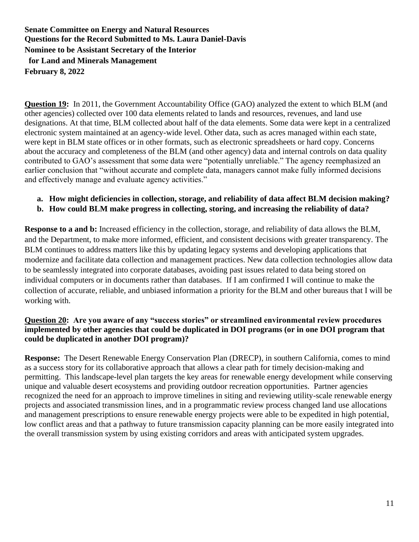**Question 19:** In 2011, the Government Accountability Office (GAO) analyzed the extent to which BLM (and other agencies) collected over 100 data elements related to lands and resources, revenues, and land use designations. At that time, BLM collected about half of the data elements. Some data were kept in a centralized electronic system maintained at an agency-wide level. Other data, such as acres managed within each state, were kept in BLM state offices or in other formats, such as electronic spreadsheets or hard copy. Concerns about the accuracy and completeness of the BLM (and other agency) data and internal controls on data quality contributed to GAO's assessment that some data were "potentially unreliable." The agency reemphasized an earlier conclusion that "without accurate and complete data, managers cannot make fully informed decisions and effectively manage and evaluate agency activities."

- **a. How might deficiencies in collection, storage, and reliability of data affect BLM decision making?**
- **b. How could BLM make progress in collecting, storing, and increasing the reliability of data?**

**Response to a and b:** Increased efficiency in the collection, storage, and reliability of data allows the BLM, and the Department, to make more informed, efficient, and consistent decisions with greater transparency. The BLM continues to address matters like this by updating legacy systems and developing applications that modernize and facilitate data collection and management practices. New data collection technologies allow data to be seamlessly integrated into corporate databases, avoiding past issues related to data being stored on individual computers or in documents rather than databases. If I am confirmed I will continue to make the collection of accurate, reliable, and unbiased information a priority for the BLM and other bureaus that I will be working with.

### **Question 20: Are you aware of any "success stories" or streamlined environmental review procedures implemented by other agencies that could be duplicated in DOI programs (or in one DOI program that could be duplicated in another DOI program)?**

**Response:** The Desert Renewable Energy Conservation Plan (DRECP), in southern California, comes to mind as a success story for its collaborative approach that allows a clear path for timely decision-making and permitting. This landscape-level plan targets the key areas for renewable energy development while conserving unique and valuable desert ecosystems and providing outdoor recreation opportunities. Partner agencies recognized the need for an approach to improve timelines in siting and reviewing utility-scale renewable energy projects and associated transmission lines, and in a programmatic review process changed land use allocations and management prescriptions to ensure renewable energy projects were able to be expedited in high potential, low conflict areas and that a pathway to future transmission capacity planning can be more easily integrated into the overall transmission system by using existing corridors and areas with anticipated system upgrades.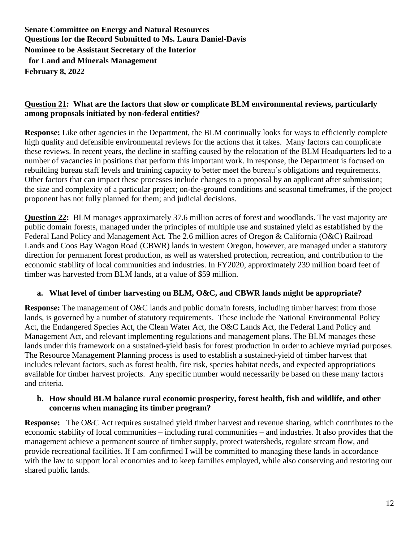### **Question 21: What are the factors that slow or complicate BLM environmental reviews, particularly among proposals initiated by non-federal entities?**

**Response:** Like other agencies in the Department, the BLM continually looks for ways to efficiently complete high quality and defensible environmental reviews for the actions that it takes. Many factors can complicate these reviews. In recent years, the decline in staffing caused by the relocation of the BLM Headquarters led to a number of vacancies in positions that perform this important work. In response, the Department is focused on rebuilding bureau staff levels and training capacity to better meet the bureau's obligations and requirements. Other factors that can impact these processes include changes to a proposal by an applicant after submission; the size and complexity of a particular project; on-the-ground conditions and seasonal timeframes, if the project proponent has not fully planned for them; and judicial decisions.

**Question 22:** BLM manages approximately 37.6 million acres of forest and woodlands. The vast majority are public domain forests, managed under the principles of multiple use and sustained yield as established by the Federal Land Policy and Management Act. The 2.6 million acres of Oregon & California (O&C) Railroad Lands and Coos Bay Wagon Road (CBWR) lands in western Oregon, however, are managed under a statutory direction for permanent forest production, as well as watershed protection, recreation, and contribution to the economic stability of local communities and industries. In FY2020, approximately 239 million board feet of timber was harvested from BLM lands, at a value of \$59 million.

# **a. What level of timber harvesting on BLM, O&C, and CBWR lands might be appropriate?**

**Response:** The management of O&C lands and public domain forests, including timber harvest from those lands, is governed by a number of statutory requirements. These include the National Environmental Policy Act, the Endangered Species Act, the Clean Water Act, the O&C Lands Act, the Federal Land Policy and Management Act, and relevant implementing regulations and management plans. The BLM manages these lands under this framework on a sustained-yield basis for forest production in order to achieve myriad purposes. The Resource Management Planning process is used to establish a sustained-yield of timber harvest that includes relevant factors, such as forest health, fire risk, species habitat needs, and expected appropriations available for timber harvest projects. Any specific number would necessarily be based on these many factors and criteria.

#### **b. How should BLM balance rural economic prosperity, forest health, fish and wildlife, and other concerns when managing its timber program?**

**Response:** The O&C Act requires sustained yield timber harvest and revenue sharing, which contributes to the economic stability of local communities – including rural communities – and industries. It also provides that the management achieve a permanent source of timber supply, protect watersheds, regulate stream flow, and provide recreational facilities. If I am confirmed I will be committed to managing these lands in accordance with the law to support local economies and to keep families employed, while also conserving and restoring our shared public lands.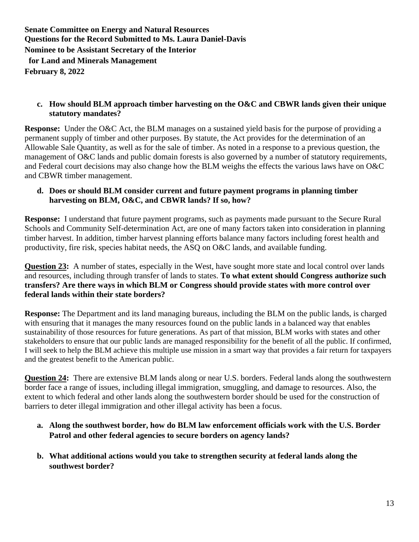# **Senate Committee on Energy and Natural Resources Questions for the Record Submitted to Ms. Laura Daniel-Davis Nominee to be Assistant Secretary of the Interior**

 **for Land and Minerals Management**

**February 8, 2022**

### **c. How should BLM approach timber harvesting on the O&C and CBWR lands given their unique statutory mandates?**

**Response:** Under the O&C Act, the BLM manages on a sustained yield basis for the purpose of providing a permanent supply of timber and other purposes. By statute, the Act provides for the determination of an Allowable Sale Quantity, as well as for the sale of timber. As noted in a response to a previous question, the management of O&C lands and public domain forests is also governed by a number of statutory requirements, and Federal court decisions may also change how the BLM weighs the effects the various laws have on O&C and CBWR timber management.

#### **d. Does or should BLM consider current and future payment programs in planning timber harvesting on BLM, O&C, and CBWR lands? If so, how?**

**Response:** I understand that future payment programs, such as payments made pursuant to the Secure Rural Schools and Community Self-determination Act, are one of many factors taken into consideration in planning timber harvest. In addition, timber harvest planning efforts balance many factors including forest health and productivity, fire risk, species habitat needs, the ASQ on O&C lands, and available funding.

**Question 23:** A number of states, especially in the West, have sought more state and local control over lands and resources, including through transfer of lands to states. **To what extent should Congress authorize such transfers? Are there ways in which BLM or Congress should provide states with more control over federal lands within their state borders?**

**Response:** The Department and its land managing bureaus, including the BLM on the public lands, is charged with ensuring that it manages the many resources found on the public lands in a balanced way that enables sustainability of those resources for future generations. As part of that mission, BLM works with states and other stakeholders to ensure that our public lands are managed responsibility for the benefit of all the public. If confirmed, I will seek to help the BLM achieve this multiple use mission in a smart way that provides a fair return for taxpayers and the greatest benefit to the American public.

**Question 24:** There are extensive BLM lands along or near U.S. borders. Federal lands along the southwestern border face a range of issues, including illegal immigration, smuggling, and damage to resources. Also, the extent to which federal and other lands along the southwestern border should be used for the construction of barriers to deter illegal immigration and other illegal activity has been a focus.

- **a. Along the southwest border, how do BLM law enforcement officials work with the U.S. Border Patrol and other federal agencies to secure borders on agency lands?**
- **b. What additional actions would you take to strengthen security at federal lands along the southwest border?**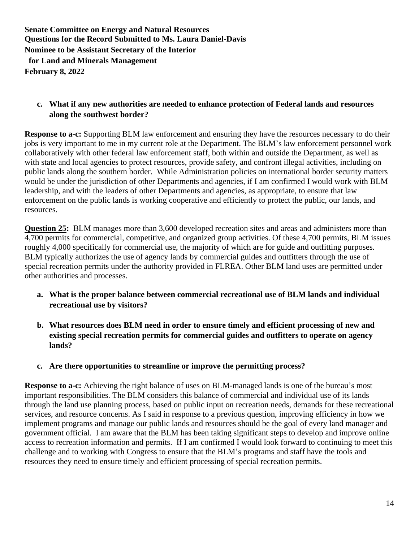**February 8, 2022**

### **c. What if any new authorities are needed to enhance protection of Federal lands and resources along the southwest border?**

**Response to a-c:** Supporting BLM law enforcement and ensuring they have the resources necessary to do their jobs is very important to me in my current role at the Department. The BLM's law enforcement personnel work collaboratively with other federal law enforcement staff, both within and outside the Department, as well as with state and local agencies to protect resources, provide safety, and confront illegal activities, including on public lands along the southern border. While Administration policies on international border security matters would be under the jurisdiction of other Departments and agencies, if I am confirmed I would work with BLM leadership, and with the leaders of other Departments and agencies, as appropriate, to ensure that law enforcement on the public lands is working cooperative and efficiently to protect the public, our lands, and resources.

**Question 25:** BLM manages more than 3,600 developed recreation sites and areas and administers more than 4,700 permits for commercial, competitive, and organized group activities. Of these 4,700 permits, BLM issues roughly 4,000 specifically for commercial use, the majority of which are for guide and outfitting purposes. BLM typically authorizes the use of agency lands by commercial guides and outfitters through the use of special recreation permits under the authority provided in FLREA. Other BLM land uses are permitted under other authorities and processes.

- **a. What is the proper balance between commercial recreational use of BLM lands and individual recreational use by visitors?**
- **b. What resources does BLM need in order to ensure timely and efficient processing of new and existing special recreation permits for commercial guides and outfitters to operate on agency lands?**
- **c. Are there opportunities to streamline or improve the permitting process?**

**Response to a-c:** Achieving the right balance of uses on BLM-managed lands is one of the bureau's most important responsibilities. The BLM considers this balance of commercial and individual use of its lands through the land use planning process, based on public input on recreation needs, demands for these recreational services, and resource concerns. As I said in response to a previous question, improving efficiency in how we implement programs and manage our public lands and resources should be the goal of every land manager and government official. I am aware that the BLM has been taking significant steps to develop and improve online access to recreation information and permits. If I am confirmed I would look forward to continuing to meet this challenge and to working with Congress to ensure that the BLM's programs and staff have the tools and resources they need to ensure timely and efficient processing of special recreation permits.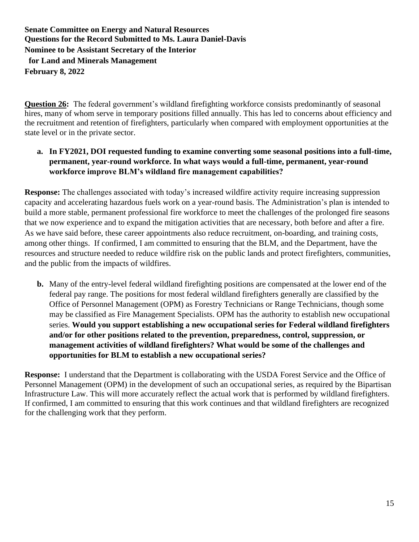**Question 26:** The federal government's wildland firefighting workforce consists predominantly of seasonal hires, many of whom serve in temporary positions filled annually. This has led to concerns about efficiency and the recruitment and retention of firefighters, particularly when compared with employment opportunities at the state level or in the private sector.

# **a. In FY2021, DOI requested funding to examine converting some seasonal positions into a full-time, permanent, year-round workforce. In what ways would a full-time, permanent, year-round workforce improve BLM's wildland fire management capabilities?**

**Response:** The challenges associated with today's increased wildfire activity require increasing suppression capacity and accelerating hazardous fuels work on a year-round basis. The Administration's plan is intended to build a more stable, permanent professional fire workforce to meet the challenges of the prolonged fire seasons that we now experience and to expand the mitigation activities that are necessary, both before and after a fire. As we have said before, these career appointments also reduce recruitment, on-boarding, and training costs, among other things. If confirmed, I am committed to ensuring that the BLM, and the Department, have the resources and structure needed to reduce wildfire risk on the public lands and protect firefighters, communities, and the public from the impacts of wildfires.

**b.** Many of the entry-level federal wildland firefighting positions are compensated at the lower end of the federal pay range. The positions for most federal wildland firefighters generally are classified by the Office of Personnel Management (OPM) as Forestry Technicians or Range Technicians, though some may be classified as Fire Management Specialists. OPM has the authority to establish new occupational series. **Would you support establishing a new occupational series for Federal wildland firefighters and/or for other positions related to the prevention, preparedness, control, suppression, or management activities of wildland firefighters? What would be some of the challenges and opportunities for BLM to establish a new occupational series?** 

**Response:** I understand that the Department is collaborating with the USDA Forest Service and the Office of Personnel Management (OPM) in the development of such an occupational series, as required by the Bipartisan Infrastructure Law. This will more accurately reflect the actual work that is performed by wildland firefighters. If confirmed, I am committed to ensuring that this work continues and that wildland firefighters are recognized for the challenging work that they perform.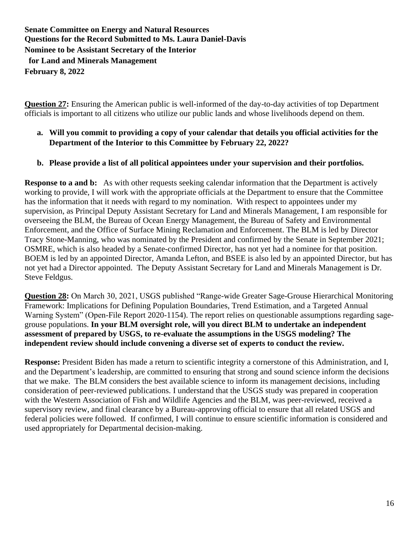**February 8, 2022**

**Question 27:** Ensuring the American public is well-informed of the day-to-day activities of top Department officials is important to all citizens who utilize our public lands and whose livelihoods depend on them.

### **a. Will you commit to providing a copy of your calendar that details you official activities for the Department of the Interior to this Committee by February 22, 2022?**

#### **b. Please provide a list of all political appointees under your supervision and their portfolios.**

**Response to a and b:** As with other requests seeking calendar information that the Department is actively working to provide, I will work with the appropriate officials at the Department to ensure that the Committee has the information that it needs with regard to my nomination. With respect to appointees under my supervision, as Principal Deputy Assistant Secretary for Land and Minerals Management, I am responsible for overseeing the BLM, the Bureau of Ocean Energy Management, the Bureau of Safety and Environmental Enforcement, and the Office of Surface Mining Reclamation and Enforcement. The BLM is led by Director Tracy Stone-Manning, who was nominated by the President and confirmed by the Senate in September 2021; OSMRE, which is also headed by a Senate-confirmed Director, has not yet had a nominee for that position. BOEM is led by an appointed Director, Amanda Lefton, and BSEE is also led by an appointed Director, but has not yet had a Director appointed. The Deputy Assistant Secretary for Land and Minerals Management is Dr. Steve Feldgus.

**Question 28:** On March 30, 2021, USGS published "Range-wide Greater Sage-Grouse Hierarchical Monitoring Framework: Implications for Defining Population Boundaries, Trend Estimation, and a Targeted Annual Warning System" (Open-File Report 2020-1154). The report relies on questionable assumptions regarding sagegrouse populations. **In your BLM oversight role, will you direct BLM to undertake an independent assessment of prepared by USGS, to re-evaluate the assumptions in the USGS modeling? The independent review should include convening a diverse set of experts to conduct the review.**

**Response:** President Biden has made a return to scientific integrity a cornerstone of this Administration, and I, and the Department's leadership, are committed to ensuring that strong and sound science inform the decisions that we make.The BLM considers the best available science to inform its management decisions, including consideration of peer-reviewed publications. I understand that the USGS study was prepared in cooperation with the Western Association of Fish and Wildlife Agencies and the BLM, was peer-reviewed, received a supervisory review, and final clearance by a Bureau-approving official to ensure that all related USGS and federal policies were followed. If confirmed, I will continue to ensure scientific information is considered and used appropriately for Departmental decision-making.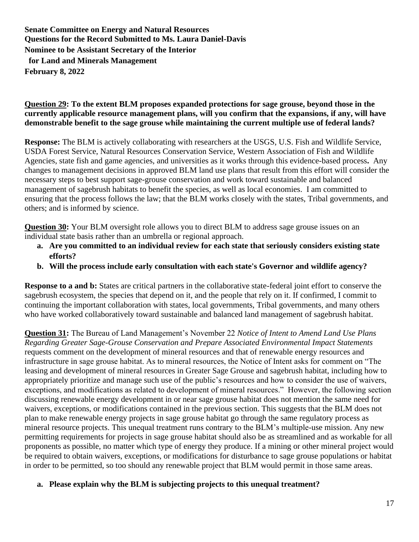#### **Question 29: To the extent BLM proposes expanded protections for sage grouse, beyond those in the currently applicable resource management plans, will you confirm that the expansions, if any, will have demonstrable benefit to the sage grouse while maintaining the current multiple use of federal lands?**

**Response:** The BLM is actively collaborating with researchers at the USGS, U.S. Fish and Wildlife Service, USDA Forest Service, Natural Resources Conservation Service, Western Association of Fish and Wildlife Agencies, state fish and game agencies, and universities as it works through this evidence-based process**.** Any changes to management decisions in approved BLM land use plans that result from this effort will consider the necessary steps to best support sage-grouse conservation and work toward sustainable and balanced management of sagebrush habitats to benefit the species, as well as local economies. I am committed to ensuring that the process follows the law; that the BLM works closely with the states, Tribal governments, and others; and is informed by science.

**Question 30:** Your BLM oversight role allows you to direct BLM to address sage grouse issues on an individual state basis rather than an umbrella or regional approach.

- **a. Are you committed to an individual review for each state that seriously considers existing state efforts?**
- **b. Will the process include early consultation with each state's Governor and wildlife agency?**

**Response to a and b:** States are critical partners in the collaborative state-federal joint effort to conserve the sagebrush ecosystem, the species that depend on it, and the people that rely on it. If confirmed, I commit to continuing the important collaboration with states, local governments, Tribal governments, and many others who have worked collaboratively toward sustainable and balanced land management of sagebrush habitat.

**Question 31:** The Bureau of Land Management's November 22 *Notice of Intent to Amend Land Use Plans Regarding Greater Sage-Grouse Conservation and Prepare Associated Environmental Impact Statements*  requests comment on the development of mineral resources and that of renewable energy resources and infrastructure in sage grouse habitat. As to mineral resources, the Notice of Intent asks for comment on "The leasing and development of mineral resources in Greater Sage Grouse and sagebrush habitat, including how to appropriately prioritize and manage such use of the public's resources and how to consider the use of waivers, exceptions, and modifications as related to development of mineral resources." However, the following section discussing renewable energy development in or near sage grouse habitat does not mention the same need for waivers, exceptions, or modifications contained in the previous section. This suggests that the BLM does not plan to make renewable energy projects in sage grouse habitat go through the same regulatory process as mineral resource projects. This unequal treatment runs contrary to the BLM's multiple-use mission. Any new permitting requirements for projects in sage grouse habitat should also be as streamlined and as workable for all proponents as possible, no matter which type of energy they produce. If a mining or other mineral project would be required to obtain waivers, exceptions, or modifications for disturbance to sage grouse populations or habitat in order to be permitted, so too should any renewable project that BLM would permit in those same areas.

#### **a. Please explain why the BLM is subjecting projects to this unequal treatment?**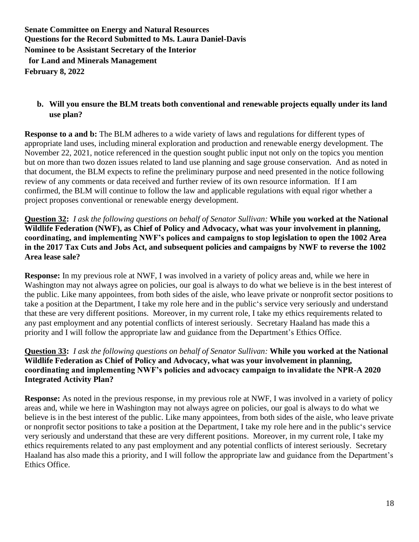# **b. Will you ensure the BLM treats both conventional and renewable projects equally under its land use plan?**

**Response to a and b:** The BLM adheres to a wide variety of laws and regulations for different types of appropriate land uses, including mineral exploration and production and renewable energy development. The November 22, 2021, notice referenced in the question sought public input not only on the topics you mention but on more than two dozen issues related to land use planning and sage grouse conservation. And as noted in that document, the BLM expects to refine the preliminary purpose and need presented in the notice following review of any comments or data received and further review of its own resource information. If I am confirmed, the BLM will continue to follow the law and applicable regulations with equal rigor whether a project proposes conventional or renewable energy development.

**Question 32:** *I ask the following questions on behalf of Senator Sullivan:* **While you worked at the National Wildlife Federation (NWF), as Chief of Policy and Advocacy, what was your involvement in planning, coordinating, and implementing NWF's polices and campaigns to stop legislation to open the 1002 Area in the 2017 Tax Cuts and Jobs Act, and subsequent policies and campaigns by NWF to reverse the 1002 Area lease sale?**

**Response:** In my previous role at NWF, I was involved in a variety of policy areas and, while we here in Washington may not always agree on policies, our goal is always to do what we believe is in the best interest of the public. Like many appointees, from both sides of the aisle, who leave private or nonprofit sector positions to take a position at the Department, I take my role here and in the public's service very seriously and understand that these are very different positions. Moreover, in my current role, I take my ethics requirements related to any past employment and any potential conflicts of interest seriously. Secretary Haaland has made this a priority and I will follow the appropriate law and guidance from the Department's Ethics Office.

### **Question 33:** *I ask the following questions on behalf of Senator Sullivan:* **While you worked at the National Wildlife Federation as Chief of Policy and Advocacy, what was your involvement in planning, coordinating and implementing NWF's policies and advocacy campaign to invalidate the NPR-A 2020 Integrated Activity Plan?**

**Response:** As noted in the previous response, in my previous role at NWF, I was involved in a variety of policy areas and, while we here in Washington may not always agree on policies, our goal is always to do what we believe is in the best interest of the public. Like many appointees, from both sides of the aisle, who leave private or nonprofit sector positions to take a position at the Department, I take my role here and in the public's service very seriously and understand that these are very different positions. Moreover, in my current role, I take my ethics requirements related to any past employment and any potential conflicts of interest seriously. Secretary Haaland has also made this a priority, and I will follow the appropriate law and guidance from the Department's Ethics Office.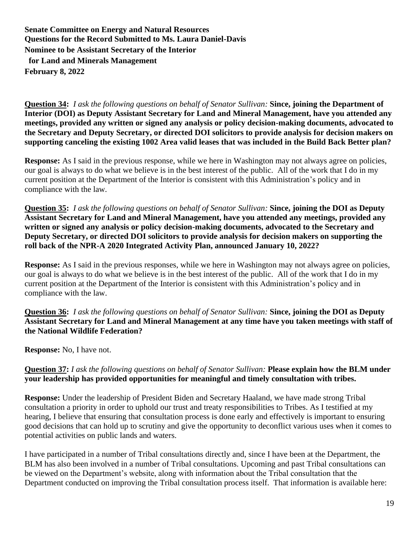**Question 34:** *I ask the following questions on behalf of Senator Sullivan:* **Since, joining the Department of Interior (DOI) as Deputy Assistant Secretary for Land and Mineral Management, have you attended any meetings, provided any written or signed any analysis or policy decision-making documents, advocated to the Secretary and Deputy Secretary, or directed DOI solicitors to provide analysis for decision makers on supporting canceling the existing 1002 Area valid leases that was included in the Build Back Better plan?**

**Response:** As I said in the previous response, while we here in Washington may not always agree on policies, our goal is always to do what we believe is in the best interest of the public. All of the work that I do in my current position at the Department of the Interior is consistent with this Administration's policy and in compliance with the law.

**Question 35:** *I ask the following questions on behalf of Senator Sullivan:* **Since, joining the DOI as Deputy Assistant Secretary for Land and Mineral Management, have you attended any meetings, provided any written or signed any analysis or policy decision-making documents, advocated to the Secretary and Deputy Secretary, or directed DOI solicitors to provide analysis for decision makers on supporting the roll back of the NPR-A 2020 Integrated Activity Plan, announced January 10, 2022?**

**Response:** As I said in the previous responses, while we here in Washington may not always agree on policies, our goal is always to do what we believe is in the best interest of the public. All of the work that I do in my current position at the Department of the Interior is consistent with this Administration's policy and in compliance with the law.

**Question 36:** *I ask the following questions on behalf of Senator Sullivan:* **Since, joining the DOI as Deputy Assistant Secretary for Land and Mineral Management at any time have you taken meetings with staff of the National Wildlife Federation?**

**Response:** No, I have not.

**Question 37:** *I ask the following questions on behalf of Senator Sullivan:* **Please explain how the BLM under your leadership has provided opportunities for meaningful and timely consultation with tribes.**

**Response:** Under the leadership of President Biden and Secretary Haaland, we have made strong Tribal consultation a priority in order to uphold our trust and treaty responsibilities to Tribes. As I testified at my hearing, I believe that ensuring that consultation process is done early and effectively is important to ensuring good decisions that can hold up to scrutiny and give the opportunity to deconflict various uses when it comes to potential activities on public lands and waters.

I have participated in a number of Tribal consultations directly and, since I have been at the Department, the BLM has also been involved in a number of Tribal consultations. Upcoming and past Tribal consultations can be viewed on the Department's website, along with information about the Tribal consultation that the Department conducted on improving the Tribal consultation process itself. That information is available here: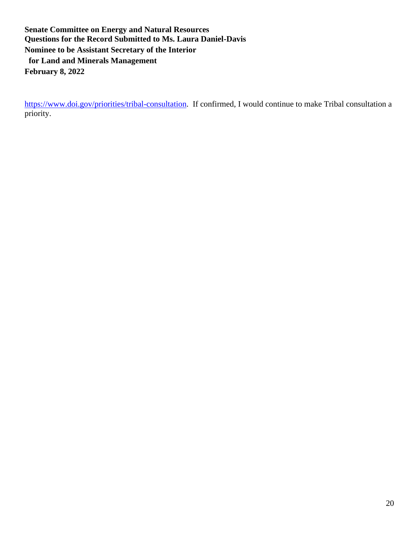[https://www.doi.gov/priorities/tribal-consultation.](https://www.doi.gov/priorities/tribal-consultation) If confirmed, I would continue to make Tribal consultation a priority.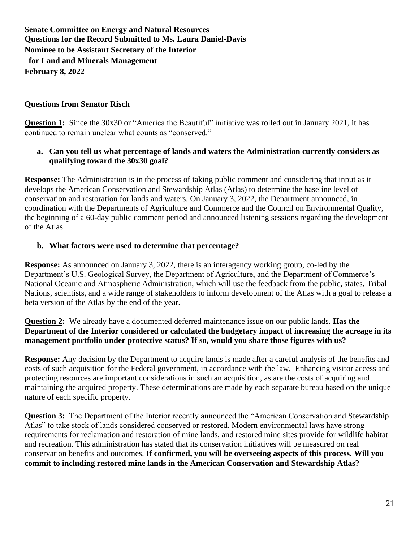#### **Questions from Senator Risch**

**Question 1:** Since the 30x30 or "America the Beautiful" initiative was rolled out in January 2021, it has continued to remain unclear what counts as "conserved."

#### **a. Can you tell us what percentage of lands and waters the Administration currently considers as qualifying toward the 30x30 goal?**

**Response:** The Administration is in the process of taking public comment and considering that input as it develops the American Conservation and Stewardship Atlas (Atlas) to determine the baseline level of conservation and restoration for lands and waters. On January 3, 2022, the Department announced, in coordination with the Departments of Agriculture and Commerce and the Council on Environmental Quality, the beginning of a 60-day public comment period and announced listening sessions regarding the development of the Atlas.

#### **b. What factors were used to determine that percentage?**

**Response:** As announced on January 3, 2022, there is an interagency working group, co-led by the Department's U.S. Geological Survey, the Department of Agriculture, and the Department of Commerce's National Oceanic and Atmospheric Administration, which will use the feedback from the public, states, Tribal Nations, scientists, and a wide range of stakeholders to inform development of the Atlas with a goal to release a beta version of the Atlas by the end of the year.

#### **Question 2:** We already have a documented deferred maintenance issue on our public lands. **Has the Department of the Interior considered or calculated the budgetary impact of increasing the acreage in its management portfolio under protective status? If so, would you share those figures with us?**

**Response:** Any decision by the Department to acquire lands is made after a careful analysis of the benefits and costs of such acquisition for the Federal government, in accordance with the law. Enhancing visitor access and protecting resources are important considerations in such an acquisition, as are the costs of acquiring and maintaining the acquired property. These determinations are made by each separate bureau based on the unique nature of each specific property.

**Question 3:** The Department of the Interior recently announced the "American Conservation and Stewardship Atlas" to take stock of lands considered conserved or restored. Modern environmental laws have strong requirements for reclamation and restoration of mine lands, and restored mine sites provide for wildlife habitat and recreation. This administration has stated that its conservation initiatives will be measured on real conservation benefits and outcomes. **If confirmed, you will be overseeing aspects of this process. Will you commit to including restored mine lands in the American Conservation and Stewardship Atlas?**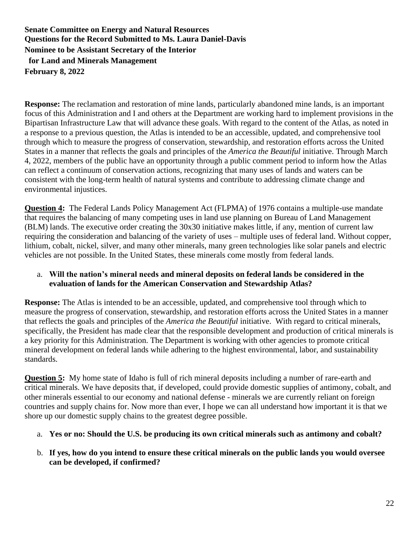**Response:** The reclamation and restoration of mine lands, particularly abandoned mine lands, is an important focus of this Administration and I and others at the Department are working hard to implement provisions in the Bipartisan Infrastructure Law that will advance these goals. With regard to the content of the Atlas, as noted in a response to a previous question, the Atlas is intended to be an accessible, updated, and comprehensive tool through which to measure the progress of conservation, stewardship, and restoration efforts across the United States in a manner that reflects the goals and principles of the *America the Beautiful* initiative. Through March 4, 2022, members of the public have an opportunity through a public comment period to inform how the Atlas can reflect a continuum of conservation actions, recognizing that many uses of lands and waters can be consistent with the long-term health of natural systems and contribute to addressing climate change and environmental injustices.

**Question 4:** The Federal Lands Policy Management Act (FLPMA) of 1976 contains a multiple-use mandate that requires the balancing of many competing uses in land use planning on Bureau of Land Management (BLM) lands. The executive order creating the 30x30 initiative makes little, if any, mention of current law requiring the consideration and balancing of the variety of uses – multiple uses of federal land. Without copper, lithium, cobalt, nickel, silver, and many other minerals, many green technologies like solar panels and electric vehicles are not possible. In the United States, these minerals come mostly from federal lands.

### a. **Will the nation's mineral needs and mineral deposits on federal lands be considered in the evaluation of lands for the American Conservation and Stewardship Atlas?**

**Response:** The Atlas is intended to be an accessible, updated, and comprehensive tool through which to measure the progress of conservation, stewardship, and restoration efforts across the United States in a manner that reflects the goals and principles of the *America the Beautiful* initiative. With regard to critical minerals, specifically, the President has made clear that the responsible development and production of critical minerals is a key priority for this Administration. The Department is working with other agencies to promote critical mineral development on federal lands while adhering to the highest environmental, labor, and sustainability standards.

**Question 5:** My home state of Idaho is full of rich mineral deposits including a number of rare-earth and critical minerals. We have deposits that, if developed, could provide domestic supplies of antimony, cobalt, and other minerals essential to our economy and national defense - minerals we are currently reliant on foreign countries and supply chains for. Now more than ever, I hope we can all understand how important it is that we shore up our domestic supply chains to the greatest degree possible.

- a. **Yes or no: Should the U.S. be producing its own critical minerals such as antimony and cobalt?**
- b. **If yes, how do you intend to ensure these critical minerals on the public lands you would oversee can be developed, if confirmed?**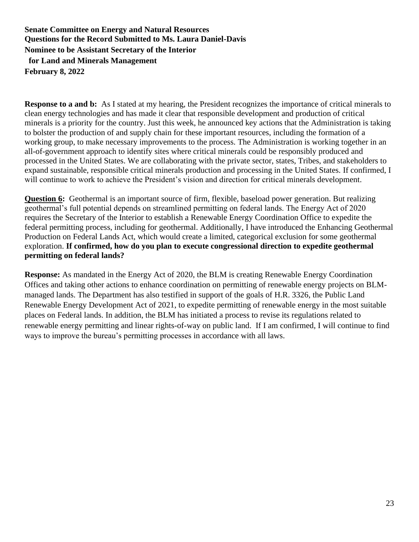**Response to a and b:** As I stated at my hearing, the President recognizes the importance of critical minerals to clean energy technologies and has made it clear that responsible development and production of critical minerals is a priority for the country. Just this week, he announced key actions that the Administration is taking to bolster the production of and supply chain for these important resources, including the formation of a working group, to make necessary improvements to the process. The Administration is working together in an all-of-government approach to identify sites where critical minerals could be responsibly produced and processed in the United States. We are collaborating with the private sector, states, Tribes, and stakeholders to expand sustainable, responsible critical minerals production and processing in the United States. If confirmed, I will continue to work to achieve the President's vision and direction for critical minerals development.

**Question 6:** Geothermal is an important source of firm, flexible, baseload power generation. But realizing geothermal's full potential depends on streamlined permitting on federal lands. The Energy Act of 2020 requires the Secretary of the Interior to establish a Renewable Energy Coordination Office to expedite the federal permitting process, including for geothermal. Additionally, I have introduced the Enhancing Geothermal Production on Federal Lands Act, which would create a limited, categorical exclusion for some geothermal exploration. **If confirmed, how do you plan to execute congressional direction to expedite geothermal permitting on federal lands?**

**Response:** As mandated in the Energy Act of 2020, the BLM is creating Renewable Energy Coordination Offices and taking other actions to enhance coordination on permitting of renewable energy projects on BLMmanaged lands. The Department has also testified in support of the goals of H.R. 3326, the Public Land Renewable Energy Development Act of 2021, to expedite permitting of renewable energy in the most suitable places on Federal lands. In addition, the BLM has initiated a process to revise its regulations related to renewable energy permitting and linear rights-of-way on public land. If I am confirmed, I will continue to find ways to improve the bureau's permitting processes in accordance with all laws.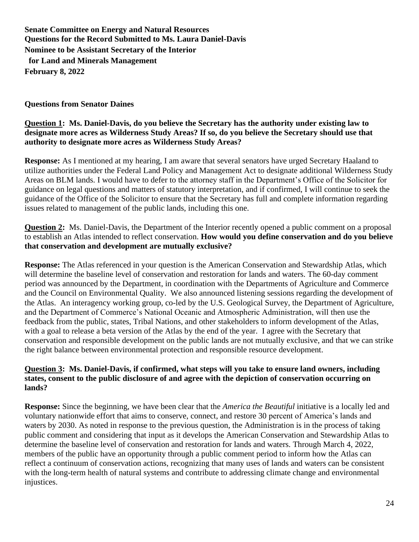#### **Questions from Senator Daines**

#### **Question 1: Ms. Daniel-Davis, do you believe the Secretary has the authority under existing law to designate more acres as Wilderness Study Areas? If so, do you believe the Secretary should use that authority to designate more acres as Wilderness Study Areas?**

**Response:** As I mentioned at my hearing, I am aware that several senators have urged Secretary Haaland to utilize authorities under the Federal Land Policy and Management Act to designate additional Wilderness Study Areas on BLM lands. I would have to defer to the attorney staff in the Department's Office of the Solicitor for guidance on legal questions and matters of statutory interpretation, and if confirmed, I will continue to seek the guidance of the Office of the Solicitor to ensure that the Secretary has full and complete information regarding issues related to management of the public lands, including this one.

**Question 2:** Ms. Daniel-Davis, the Department of the Interior recently opened a public comment on a proposal to establish an Atlas intended to reflect conservation. **How would you define conservation and do you believe that conservation and development are mutually exclusive?**

**Response:** The Atlas referenced in your question is the American Conservation and Stewardship Atlas, which will determine the baseline level of conservation and restoration for lands and waters. The 60-day comment period was announced by the Department, in coordination with the Departments of Agriculture and Commerce and the Council on Environmental Quality. We also announced listening sessions regarding the development of the Atlas. An interagency working group, co-led by the U.S. Geological Survey, the Department of Agriculture, and the Department of Commerce's National Oceanic and Atmospheric Administration, will then use the feedback from the public, states, Tribal Nations, and other stakeholders to inform development of the Atlas, with a goal to release a beta version of the Atlas by the end of the year. I agree with the Secretary that conservation and responsible development on the public lands are not mutually exclusive, and that we can strike the right balance between environmental protection and responsible resource development.

#### **Question 3: Ms. Daniel-Davis, if confirmed, what steps will you take to ensure land owners, including states, consent to the public disclosure of and agree with the depiction of conservation occurring on lands?**

**Response:** Since the beginning, we have been clear that the *[America the Beautiful](https://www.doi.gov/priorities/america-the-beautiful)* initiative is a locally led and voluntary nationwide effort that aims to conserve, connect, and restore 30 percent of America's lands and waters by 2030. As noted in response to the previous question, the Administration is in the process of taking public comment and considering that input as it develops the American Conservation and Stewardship Atlas to determine the baseline level of conservation and restoration for lands and waters. Through March 4, 2022, members of the public have an opportunity through a public comment period to inform how the Atlas can reflect a continuum of conservation actions, recognizing that many uses of lands and waters can be consistent with the long-term health of natural systems and contribute to addressing climate change and environmental injustices.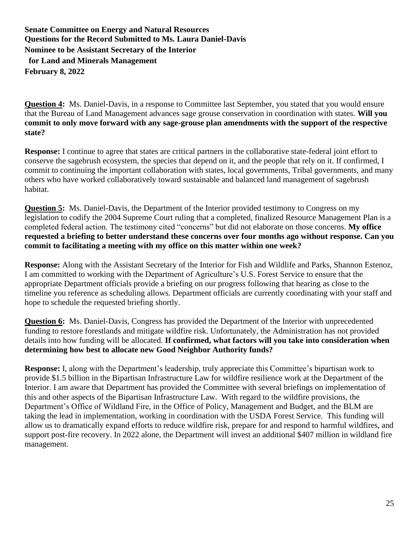**Question 4:** Ms. Daniel-Davis, in a response to Committee last September, you stated that you would ensure that the Bureau of Land Management advances sage grouse conservation in coordination with states. **Will you commit to only move forward with any sage-grouse plan amendments with the support of the respective state?**

**Response:** I continue to agree that states are critical partners in the collaborative state-federal joint effort to conserve the sagebrush ecosystem, the species that depend on it, and the people that rely on it. If confirmed, I commit to continuing the important collaboration with states, local governments, Tribal governments, and many others who have worked collaboratively toward sustainable and balanced land management of sagebrush habitat.

**Question 5:** Ms. Daniel-Davis, the Department of the Interior provided testimony to Congress on my legislation to codify the 2004 Supreme Court ruling that a completed, finalized Resource Management Plan is a completed federal action. The testimony cited "concerns" but did not elaborate on those concerns. **My office requested a briefing to better understand these concerns over four months ago without response. Can you commit to facilitating a meeting with my office on this matter within one week?**

**Response:** Along with the Assistant Secretary of the Interior for Fish and Wildlife and Parks, Shannon Estenoz, I am committed to working with the Department of Agriculture's U.S. Forest Service to ensure that the appropriate Department officials provide a briefing on our progress following that hearing as close to the timeline you reference as scheduling allows. Department officials are currently coordinating with your staff and hope to schedule the requested briefing shortly.

**Question 6:** Ms. Daniel-Davis, Congress has provided the Department of the Interior with unprecedented funding to restore forestlands and mitigate wildfire risk. Unfortunately, the Administration has not provided details into how funding will be allocated. **If confirmed, what factors will you take into consideration when determining how best to allocate new Good Neighbor Authority funds?**

**Response:** I, along with the Department's leadership, truly appreciate this Committee's bipartisan work to provide \$1.5 billion in the Bipartisan Infrastructure Law for wildfire resilience work at the Department of the Interior. I am aware that Department has provided the Committee with several briefings on implementation of this and other aspects of the Bipartisan Infrastructure Law. With regard to the wildfire provisions, the Department's Office of Wildland Fire, in the Office of Policy, Management and Budget, and the BLM are taking the lead in implementation, working in coordination with the USDA Forest Service. This funding will allow us to dramatically expand efforts to reduce wildfire risk, prepare for and respond to harmful wildfires, and support post-fire recovery. In 2022 alone, the Department will invest an additional \$407 million in wildland fire management.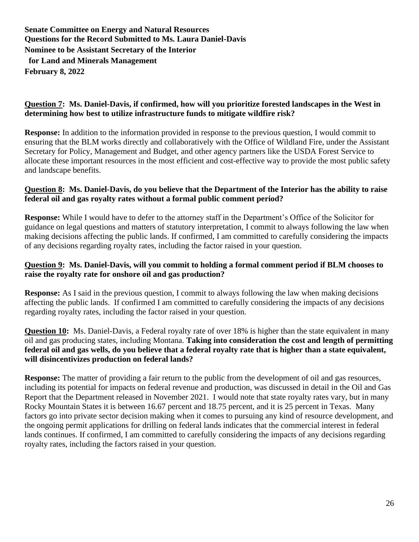### **Question 7: Ms. Daniel-Davis, if confirmed, how will you prioritize forested landscapes in the West in determining how best to utilize infrastructure funds to mitigate wildfire risk?**

**Response:** In addition to the information provided in response to the previous question, I would commit to ensuring that the BLM works directly and collaboratively with the Office of Wildland Fire, under the Assistant Secretary for Policy, Management and Budget, and other agency partners like the USDA Forest Service to allocate these important resources in the most efficient and cost-effective way to provide the most public safety and landscape benefits.

#### **Question 8: Ms. Daniel-Davis, do you believe that the Department of the Interior has the ability to raise federal oil and gas royalty rates without a formal public comment period?**

**Response:** While I would have to defer to the attorney staff in the Department's Office of the Solicitor for guidance on legal questions and matters of statutory interpretation, I commit to always following the law when making decisions affecting the public lands. If confirmed, I am committed to carefully considering the impacts of any decisions regarding royalty rates, including the factor raised in your question.

#### **Question 9: Ms. Daniel-Davis, will you commit to holding a formal comment period if BLM chooses to raise the royalty rate for onshore oil and gas production?**

**Response:** As I said in the previous question, I commit to always following the law when making decisions affecting the public lands. If confirmed I am committed to carefully considering the impacts of any decisions regarding royalty rates, including the factor raised in your question.

**Question 10:** Ms. Daniel-Davis, a Federal royalty rate of over 18% is higher than the state equivalent in many oil and gas producing states, including Montana. **Taking into consideration the cost and length of permitting federal oil and gas wells, do you believe that a federal royalty rate that is higher than a state equivalent, will disincentivizes production on federal lands?**

**Response:** The matter of providing a fair return to the public from the development of oil and gas resources, including its potential for impacts on federal revenue and production, was discussed in detail in the Oil and Gas Report that the Department released in November 2021. I would note that state royalty rates vary, but in many Rocky Mountain States it is between 16.67 percent and 18.75 percent, and it is 25 percent in Texas. Many factors go into private sector decision making when it comes to pursuing any kind of resource development, and the ongoing permit applications for drilling on federal lands indicates that the commercial interest in federal lands continues. If confirmed, I am committed to carefully considering the impacts of any decisions regarding royalty rates, including the factors raised in your question.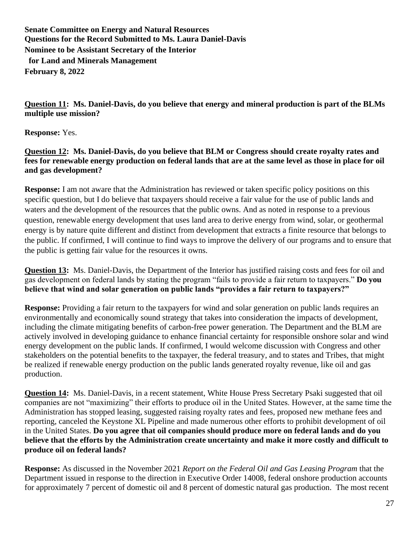**Question 11: Ms. Daniel-Davis, do you believe that energy and mineral production is part of the BLMs multiple use mission?**

**Response:** Yes.

**Question 12: Ms. Daniel-Davis, do you believe that BLM or Congress should create royalty rates and fees for renewable energy production on federal lands that are at the same level as those in place for oil and gas development?**

**Response:** I am not aware that the Administration has reviewed or taken specific policy positions on this specific question, but I do believe that taxpayers should receive a fair value for the use of public lands and waters and the development of the resources that the public owns. And as noted in response to a previous question, renewable energy development that uses land area to derive energy from wind, solar, or geothermal energy is by nature quite different and distinct from development that extracts a finite resource that belongs to the public. If confirmed, I will continue to find ways to improve the delivery of our programs and to ensure that the public is getting fair value for the resources it owns.

**Question 13:** Ms. Daniel-Davis, the Department of the Interior has justified raising costs and fees for oil and gas development on federal lands by stating the program "fails to provide a fair return to taxpayers." **Do you believe that wind and solar generation on public lands "provides a fair return to taxpayers?"**

**Response:** Providing a fair return to the taxpayers for wind and solar generation on public lands requires an environmentally and economically sound strategy that takes into consideration the impacts of development, including the climate mitigating benefits of carbon-free power generation. The Department and the BLM are actively involved in developing guidance to enhance financial certainty for responsible onshore solar and wind energy development on the public lands. If confirmed, I would welcome discussion with Congress and other stakeholders on the potential benefits to the taxpayer, the federal treasury, and to states and Tribes, that might be realized if renewable energy production on the public lands generated royalty revenue, like oil and gas production.

**Question 14:** Ms. Daniel-Davis, in a recent statement, White House Press Secretary Psaki suggested that oil companies are not "maximizing" their efforts to produce oil in the United States. However, at the same time the Administration has stopped leasing, suggested raising royalty rates and fees, proposed new methane fees and reporting, canceled the Keystone XL Pipeline and made numerous other efforts to prohibit development of oil in the United States. **Do you agree that oil companies should produce more on federal lands and do you believe that the efforts by the Administration create uncertainty and make it more costly and difficult to produce oil on federal lands?**

**Response:** As discussed in the November 2021 *Report on the Federal Oil and Gas Leasing Program* that the Department issued in response to the direction in Executive Order 14008, federal onshore production accounts for approximately 7 percent of domestic oil and 8 percent of domestic natural gas production. The most recent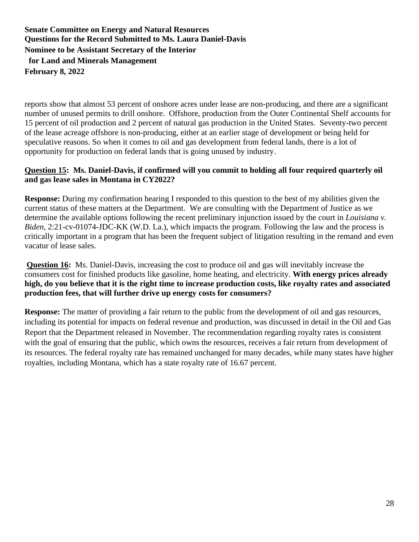reports show that almost 53 percent of onshore acres under lease are non-producing, and there are a significant number of unused permits to drill onshore. Offshore, production from the Outer Continental Shelf accounts for 15 percent of oil production and 2 percent of natural gas production in the United States. Seventy-two percent of the lease acreage offshore is non-producing, either at an earlier stage of development or being held for speculative reasons. So when it comes to oil and gas development from federal lands, there is a lot of opportunity for production on federal lands that is going unused by industry.

#### **Question 15: Ms. Daniel-Davis, if confirmed will you commit to holding all four required quarterly oil and gas lease sales in Montana in CY2022?**

**Response:** During my confirmation hearing I responded to this question to the best of my abilities given the current status of these matters at the Department. We are consulting with the Department of Justice as we determine the available options following the recent preliminary injunction issued by the court in *Louisiana v. Biden*, 2:21-cv-01074-JDC-KK (W.D. La.), which impacts the program*.* Following the law and the process is critically important in a program that has been the frequent subject of litigation resulting in the remand and even vacatur of lease sales.

**Question 16:** Ms. Daniel-Davis, increasing the cost to produce oil and gas will inevitably increase the consumers cost for finished products like gasoline, home heating, and electricity. **With energy prices already high, do you believe that it is the right time to increase production costs, like royalty rates and associated production fees, that will further drive up energy costs for consumers?**

**Response:** The matter of providing a fair return to the public from the development of oil and gas resources, including its potential for impacts on federal revenue and production, was discussed in detail in the Oil and Gas Report that the Department released in November. The recommendation regarding royalty rates is consistent with the goal of ensuring that the public, which owns the resources, receives a fair return from development of its resources. The federal royalty rate has remained unchanged for many decades, while many states have higher royalties, including Montana, which has a state royalty rate of 16.67 percent.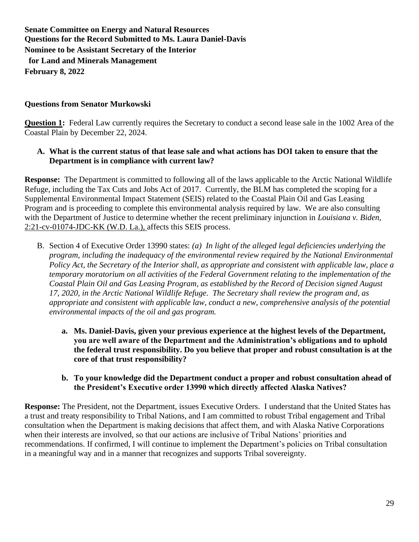#### **Questions from Senator Murkowski**

**Question 1:** Federal Law currently requires the Secretary to conduct a second lease sale in the 1002 Area of the Coastal Plain by December 22, 2024.

#### **A. What is the current status of that lease sale and what actions has DOI taken to ensure that the Department is in compliance with current law?**

**Response:** The Department is committed to following all of the laws applicable to the Arctic National Wildlife Refuge, including the Tax Cuts and Jobs Act of 2017. Currently, the BLM has completed the scoping for a Supplemental Environmental Impact Statement (SEIS) related to the Coastal Plain Oil and Gas Leasing Program and is proceeding to complete this environmental analysis required by law. We are also consulting with the Department of Justice to determine whether the recent preliminary injunction in *Louisiana v. Biden,*  2:21-cv-01074-JDC-KK (W.D. La.), affects this SEIS process.

- B. Section 4 of Executive Order 13990 states: *(a) In light of the alleged legal deficiencies underlying the program, including the inadequacy of the environmental review required by the National Environmental Policy Act, the Secretary of the Interior shall, as appropriate and consistent with applicable law, place a temporary moratorium on all activities of the Federal Government relating to the implementation of the Coastal Plain Oil and Gas Leasing Program, as established by the Record of Decision signed August 17, 2020, in the Arctic National Wildlife Refuge. The Secretary shall review the program and, as appropriate and consistent with applicable law, conduct a new, comprehensive analysis of the potential environmental impacts of the oil and gas program.* 
	- **a. Ms. Daniel-Davis, given your previous experience at the highest levels of the Department, you are well aware of the Department and the Administration's obligations and to uphold the federal trust responsibility. Do you believe that proper and robust consultation is at the core of that trust responsibility?**

#### **b. To your knowledge did the Department conduct a proper and robust consultation ahead of the President's Executive order 13990 which directly affected Alaska Natives?**

**Response:** The President, not the Department, issues Executive Orders.I understand that the United States has a trust and treaty responsibility to Tribal Nations, and I am committed to robust Tribal engagement and Tribal consultation when the Department is making decisions that affect them, and with Alaska Native Corporations when their interests are involved, so that our actions are inclusive of Tribal Nations' priorities and recommendations. If confirmed, I will continue to implement the Department's policies on Tribal consultation in a meaningful way and in a manner that recognizes and supports Tribal sovereignty.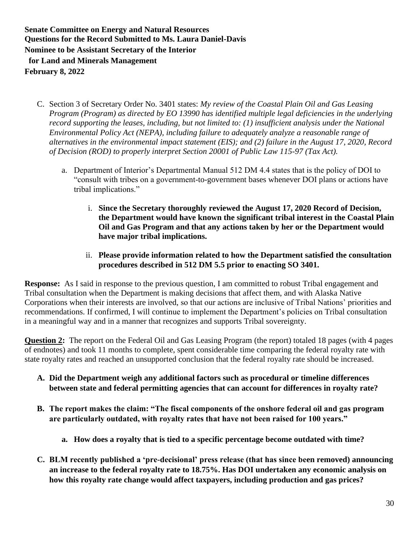- C. Section 3 of Secretary Order No. 3401 states: *My review of the Coastal Plain Oil and Gas Leasing Program (Program) as directed by EO 13990 has identified multiple legal deficiencies in the underlying record supporting the leases, including, but not limited to: (1) insufficient analysis under the National Environmental Policy Act (NEPA), including failure to adequately analyze a reasonable range of alternatives in the environmental impact statement (EIS); and (2) failure in the August 17, 2020, Record of Decision (ROD) to properly interpret Section 20001 of Public Law 115-97 (Tax Act).*
	- a. Department of Interior's Departmental Manual 512 DM 4.4 states that is the policy of DOI to "consult with tribes on a government-to-government bases whenever DOI plans or actions have tribal implications."
		- i. **Since the Secretary thoroughly reviewed the August 17, 2020 Record of Decision, the Department would have known the significant tribal interest in the Coastal Plain Oil and Gas Program and that any actions taken by her or the Department would have major tribal implications.**
		- ii. **Please provide information related to how the Department satisfied the consultation procedures described in 512 DM 5.5 prior to enacting SO 3401.**

**Response:** As I said in response to the previous question, I am committed to robust Tribal engagement and Tribal consultation when the Department is making decisions that affect them, and with Alaska Native Corporations when their interests are involved, so that our actions are inclusive of Tribal Nations' priorities and recommendations. If confirmed, I will continue to implement the Department's policies on Tribal consultation in a meaningful way and in a manner that recognizes and supports Tribal sovereignty.

**Question 2:** The report on the Federal Oil and Gas Leasing Program (the report) totaled 18 pages (with 4 pages of endnotes) and took 11 months to complete, spent considerable time comparing the federal royalty rate with state royalty rates and reached an unsupported conclusion that the federal royalty rate should be increased.

- **A. Did the Department weigh any additional factors such as procedural or timeline differences between state and federal permitting agencies that can account for differences in royalty rate?**
- **B. The report makes the claim: "The fiscal components of the onshore federal oil and gas program are particularly outdated, with royalty rates that have not been raised for 100 years."**
	- **a. How does a royalty that is tied to a specific percentage become outdated with time?**
- **C. BLM recently published a 'pre-decisional' press release (that has since been removed) announcing an increase to the federal royalty rate to 18.75%. Has DOI undertaken any economic analysis on how this royalty rate change would affect taxpayers, including production and gas prices?**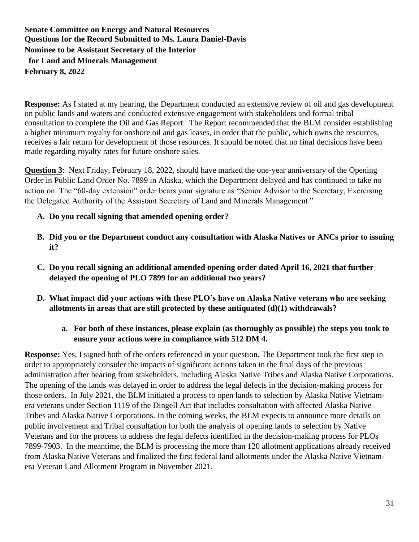**Response:** As I stated at my hearing, the Department conducted an extensive review of oil and gas development on public lands and waters and conducted extensive engagement with stakeholders and formal tribal consultation to complete the Oil and Gas Report. The Report recommended that the BLM consider establishing a higher minimum royalty for onshore oil and gas leases, in order that the public, which owns the resources, receives a fair return for development of those resources. It should be noted that no final decisions have been made regarding royalty rates for future onshore sales.

**Question 3**: Next Friday, February 18, 2022, should have marked the one-year anniversary of the Opening Order in Public Land Order No. 7899 in Alaska, which the Department delayed and has continued to take no action on. The "60-day extension" order bears your signature as "Senior Advisor to the Secretary, Exercising the Delegated Authority of the Assistant Secretary of Land and Minerals Management."

- **A. Do you recall signing that amended opening order?**
- **B. Did you or the Department conduct any consultation with Alaska Natives or ANCs prior to issuing it?**
- **C. Do you recall signing an additional amended opening order dated April 16, 2021 that further delayed the opening of PLO 7899 for an additional two years?**
- **D. What impact did your actions with these PLO's have on Alaska Native veterans who are seeking allotments in areas that are still protected by these antiquated (d)(1) withdrawals?** 
	- **a. For both of these instances, please explain (as thoroughly as possible) the steps you took to ensure your actions were in compliance with 512 DM 4.**

**Response:** Yes, I signed both of the orders referenced in your question. The Department took the first step in order to appropriately consider the impacts of significant actions taken in the final days of the previous administration after hearing from stakeholders, including Alaska Native Tribes and Alaska Native Corporations. The opening of the lands was delayed in order to address the legal defects in the decision-making process for those orders. In July 2021, the BLM initiated a process to open lands to selection by Alaska Native Vietnamera veterans under Section 1119 of the Dingell Act that includes consultation with affected Alaska Native Tribes and Alaska Native Corporations. In the coming weeks, the BLM expects to announce more details on public involvement and Tribal consultation for both the analysis of opening lands to selection by Native Veterans and for the process to address the legal defects identified in the decision-making process for PLOs 7899-7903. In the meantime, the BLM is processing the more than 120 allotment applications already received from Alaska Native Veterans and finalized the first federal land allotments under the Alaska Native Vietnamera Veteran Land Allotment Program in November 2021.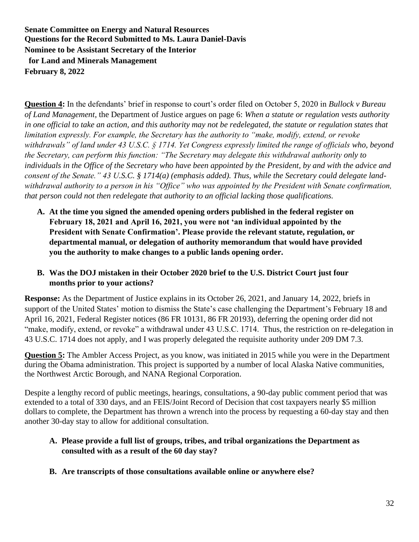**Question 4:** In the defendants' brief in response to court's order filed on October 5, 2020 in *Bullock v Bureau of Land Management*, the Department of Justice argues on page 6: *When a statute or regulation vests authority in one official to take an action, and this authority may not be redelegated, the statute or regulation states that limitation expressly. For example, the Secretary has the authority to "make, modify, extend, or revoke withdrawals" of land under 43 U.S.C. § 1714. Yet Congress expressly limited the range of officials who, beyond the Secretary, can perform this function: "The Secretary may delegate this withdrawal authority only to individuals in the Office of the Secretary who have been appointed by the President, by and with the advice and consent of the Senate." 43 U.S.C. § 1714(a) (emphasis added). Thus, while the Secretary could delegate landwithdrawal authority to a person in his "Office" who was appointed by the President with Senate confirmation, that person could not then redelegate that authority to an official lacking those qualifications.*

**A. At the time you signed the amended opening orders published in the federal register on February 18, 2021 and April 16, 2021, you were not 'an individual appointed by the President with Senate Confirmation'. Please provide the relevant statute, regulation, or departmental manual, or delegation of authority memorandum that would have provided you the authority to make changes to a public lands opening order.**

## **B. Was the DOJ mistaken in their October 2020 brief to the U.S. District Court just four months prior to your actions?**

**Response:** As the Department of Justice explains in its October 26, 2021, and January 14, 2022, briefs in support of the United States' motion to dismiss the State's case challenging the Department's February 18 and April 16, 2021, Federal Register notices (86 FR 10131, 86 FR 20193), deferring the opening order did not "make, modify, extend, or revoke" a withdrawal under 43 U.S.C. 1714. Thus, the restriction on re-delegation in 43 U.S.C. 1714 does not apply, and I was properly delegated the requisite authority under 209 DM 7.3.

**Question 5:** The Ambler Access Project, as you know, was initiated in 2015 while you were in the Department during the Obama administration. This project is supported by a number of local Alaska Native communities, the Northwest Arctic Borough, and NANA Regional Corporation.

Despite a lengthy record of public meetings, hearings, consultations, a 90-day public comment period that was extended to a total of 330 days, and an FEIS/Joint Record of Decision that cost taxpayers nearly \$5 million dollars to complete, the Department has thrown a wrench into the process by requesting a 60-day stay and then another 30-day stay to allow for additional consultation.

- **A. Please provide a full list of groups, tribes, and tribal organizations the Department as consulted with as a result of the 60 day stay?**
- **B. Are transcripts of those consultations available online or anywhere else?**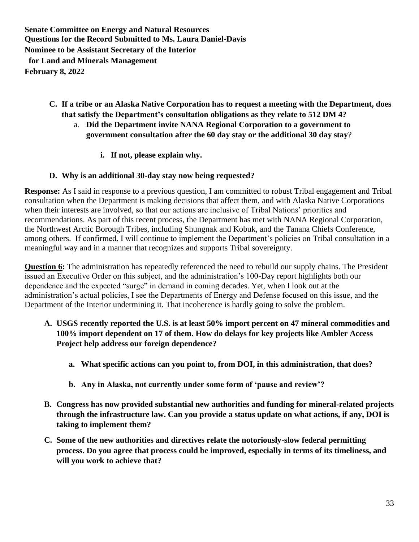- **C. If a tribe or an Alaska Native Corporation has to request a meeting with the Department, does that satisfy the Department's consultation obligations as they relate to 512 DM 4?**
	- a. **Did the Department invite NANA Regional Corporation to a government to government consultation after the 60 day stay or the additional 30 day stay**?
		- **i. If not, please explain why.**

### **D. Why is an additional 30-day stay now being requested?**

**Response:** As I said in response to a previous question, I am committed to robust Tribal engagement and Tribal consultation when the Department is making decisions that affect them, and with Alaska Native Corporations when their interests are involved, so that our actions are inclusive of Tribal Nations' priorities and recommendations. As part of this recent process, the Department has met with NANA Regional Corporation, the Northwest Arctic Borough Tribes, including Shungnak and Kobuk, and the Tanana Chiefs Conference, among others. If confirmed, I will continue to implement the Department's policies on Tribal consultation in a meaningful way and in a manner that recognizes and supports Tribal sovereignty.

**Question 6:** The administration has repeatedly referenced the need to rebuild our supply chains. The President issued an Executive Order on this subject, and the administration's 100-Day report highlights both our dependence and the expected "surge" in demand in coming decades. Yet, when I look out at the administration's actual policies, I see the Departments of Energy and Defense focused on this issue, and the Department of the Interior undermining it. That incoherence is hardly going to solve the problem.

- **A. USGS recently reported the U.S. is at least 50% import percent on 47 mineral commodities and 100% import dependent on 17 of them. How do delays for key projects like Ambler Access Project help address our foreign dependence?** 
	- **a. What specific actions can you point to, from DOI, in this administration, that does?**
	- **b. Any in Alaska, not currently under some form of 'pause and review'?**
- **B. Congress has now provided substantial new authorities and funding for mineral-related projects through the infrastructure law. Can you provide a status update on what actions, if any, DOI is taking to implement them?**
- **C. Some of the new authorities and directives relate the notoriously-slow federal permitting process. Do you agree that process could be improved, especially in terms of its timeliness, and will you work to achieve that?**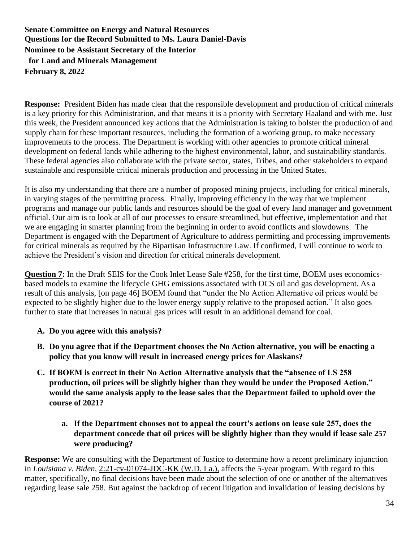**Response:** President Biden has made clear that the responsible development and production of critical minerals is a key priority for this Administration, and that means it is a priority with Secretary Haaland and with me. Just this week, the President announced key actions that the Administration is taking to bolster the production of and supply chain for these important resources, including the formation of a working group, to make necessary improvements to the process. The Department is working with other agencies to promote critical mineral development on federal lands while adhering to the highest environmental, labor, and sustainability standards. These federal agencies also collaborate with the private sector, states, Tribes, and other stakeholders to expand sustainable and responsible critical minerals production and processing in the United States.

It is also my understanding that there are a number of proposed mining projects, including for critical minerals, in varying stages of the permitting process. Finally, improving efficiency in the way that we implement programs and manage our public lands and resources should be the goal of every land manager and government official. Our aim is to look at all of our processes to ensure streamlined, but effective, implementation and that we are engaging in smarter planning from the beginning in order to avoid conflicts and slowdowns. The Department is engaged with the Department of Agriculture to address permitting and processing improvements for critical minerals as required by the Bipartisan Infrastructure Law. If confirmed, I will continue to work to achieve the President's vision and direction for critical minerals development.

**Question 7:** In the Draft SEIS for the Cook Inlet Lease Sale #258, for the first time, BOEM uses economicsbased models to examine the lifecycle GHG emissions associated with OCS oil and gas development. As a result of this analysis, [on page 46] BOEM found that "under the No Action Alternative oil prices would be expected to be slightly higher due to the lower energy supply relative to the proposed action." It also goes further to state that increases in natural gas prices will result in an additional demand for coal.

- **A. Do you agree with this analysis?**
- **B. Do you agree that if the Department chooses the No Action alternative, you will be enacting a policy that you know will result in increased energy prices for Alaskans?**
- **C. If BOEM is correct in their No Action Alternative analysis that the "absence of LS 258 production, oil prices will be slightly higher than they would be under the Proposed Action," would the same analysis apply to the lease sales that the Department failed to uphold over the course of 2021?**
	- **a. If the Department chooses not to appeal the court's actions on lease sale 257, does the department concede that oil prices will be slightly higher than they would if lease sale 257 were producing?**

**Response:** We are consulting with the Department of Justice to determine how a recent preliminary injunction in *Louisiana v. Biden,* 2:21-cv-01074-JDC-KK (W.D. La.), affects the 5-year program*.* With regard to this matter, specifically, no final decisions have been made about the selection of one or another of the alternatives regarding lease sale 258. But against the backdrop of recent litigation and invalidation of leasing decisions by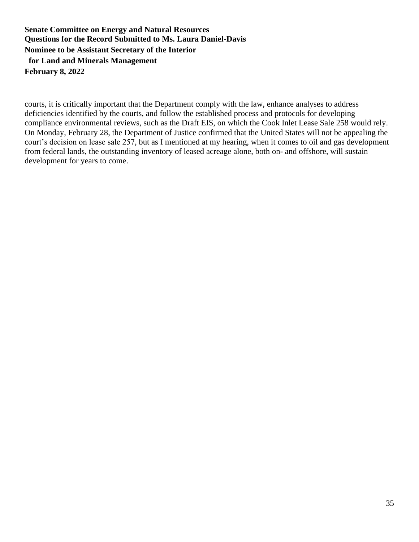courts, it is critically important that the Department comply with the law, enhance analyses to address deficiencies identified by the courts, and follow the established process and protocols for developing compliance environmental reviews, such as the Draft EIS, on which the Cook Inlet Lease Sale 258 would rely. On Monday, February 28, the Department of Justice confirmed that the United States will not be appealing the court's decision on lease sale 257, but as I mentioned at my hearing, when it comes to oil and gas development from federal lands, the outstanding inventory of leased acreage alone, both on- and offshore, will sustain development for years to come.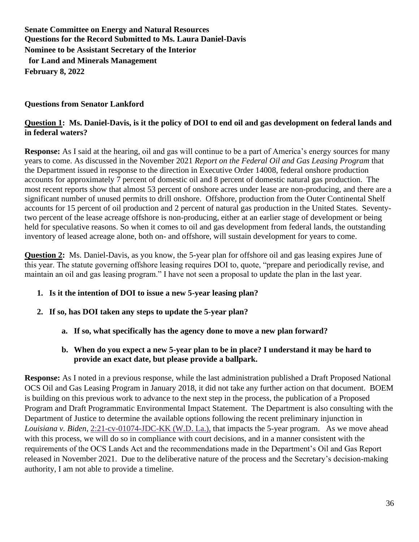### **Questions from Senator Lankford**

### **Question 1: Ms. Daniel-Davis, is it the policy of DOI to end oil and gas development on federal lands and in federal waters?**

**Response:** As I said at the hearing, oil and gas will continue to be a part of America's energy sources for many years to come. As discussed in the November 2021 *Report on the Federal Oil and Gas Leasing Program* that the Department issued in response to the direction in Executive Order 14008, federal onshore production accounts for approximately 7 percent of domestic oil and 8 percent of domestic natural gas production. The most recent reports show that almost 53 percent of onshore acres under lease are non-producing, and there are a significant number of unused permits to drill onshore. Offshore, production from the Outer Continental Shelf accounts for 15 percent of oil production and 2 percent of natural gas production in the United States. Seventytwo percent of the lease acreage offshore is non-producing, either at an earlier stage of development or being held for speculative reasons. So when it comes to oil and gas development from federal lands, the outstanding inventory of leased acreage alone, both on- and offshore, will sustain development for years to come.

**Question 2:** Ms. Daniel-Davis, as you know, the 5-year plan for offshore oil and gas leasing expires June of this year. The statute governing offshore leasing requires DOI to, quote, "prepare and periodically revise, and maintain an oil and gas leasing program." I have not seen a proposal to update the plan in the last year.

#### **1. Is it the intention of DOI to issue a new 5-year leasing plan?**

- **2. If so, has DOI taken any steps to update the 5-year plan?**
	- **a. If so, what specifically has the agency done to move a new plan forward?**

#### **b. When do you expect a new 5-year plan to be in place? I understand it may be hard to provide an exact date, but please provide a ballpark.**

**Response:** As I noted in a previous response, while the last administration published a Draft Proposed National OCS Oil and Gas Leasing Program in January 2018, it did not take any further action on that document. BOEM is building on this previous work to advance to the next step in the process, the publication of a Proposed Program and Draft Programmatic Environmental Impact Statement. The Department is also consulting with the Department of Justice to determine the available options following the recent preliminary injunction in *Louisiana v. Biden,* 2:21-cv-01074-JDC-KK (W.D. La.), that impacts the 5-year program. As we move ahead with this process, we will do so in compliance with court decisions, and in a manner consistent with the requirements of the OCS Lands Act and the recommendations made in the Department's Oil and Gas Report released in November 2021. Due to the deliberative nature of the process and the Secretary's decision-making authority, I am not able to provide a timeline.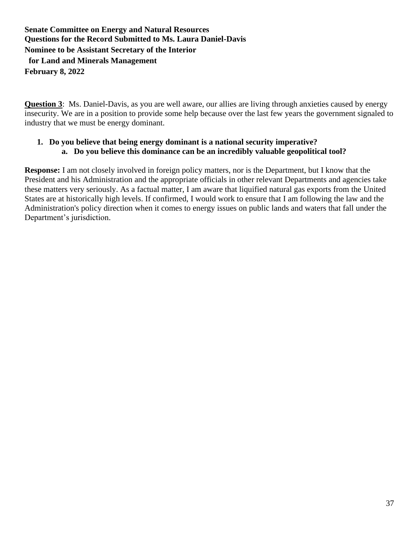**Question 3**: Ms. Daniel-Davis, as you are well aware, our allies are living through anxieties caused by energy insecurity. We are in a position to provide some help because over the last few years the government signaled to industry that we must be energy dominant.

### **1. Do you believe that being energy dominant is a national security imperative? a. Do you believe this dominance can be an incredibly valuable geopolitical tool?**

**Response:** I am not closely involved in foreign policy matters, nor is the Department, but I know that the President and his Administration and the appropriate officials in other relevant Departments and agencies take these matters very seriously. As a factual matter, I am aware that liquified natural gas exports from the United States are at historically high levels. If confirmed, I would work to ensure that I am following the law and the Administration's policy direction when it comes to energy issues on public lands and waters that fall under the Department's jurisdiction.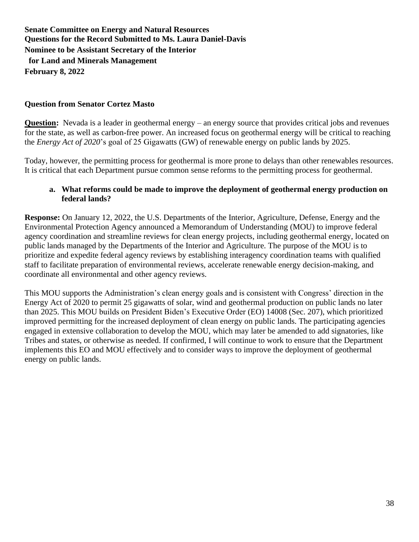#### **Question from Senator Cortez Masto**

**Question:** Nevada is a leader in geothermal energy – an energy source that provides critical jobs and revenues for the state, as well as carbon-free power. An increased focus on geothermal energy will be critical to reaching the *Energy Act of 2020*'s goal of 25 Gigawatts (GW) of renewable energy on public lands by 2025.

Today, however, the permitting process for geothermal is more prone to delays than other renewables resources. It is critical that each Department pursue common sense reforms to the permitting process for geothermal.

#### **a. What reforms could be made to improve the deployment of geothermal energy production on federal lands?**

**Response:** On January 12, 2022, the U.S. Departments of the Interior, Agriculture, Defense, Energy and the Environmental Protection Agency announced a Memorandum of Understanding (MOU) to improve federal agency coordination and streamline reviews for clean energy projects, including geothermal energy, located on public lands managed by the Departments of the Interior and Agriculture. The purpose of the MOU is to prioritize and expedite federal agency reviews by establishing interagency coordination teams with qualified staff to facilitate preparation of environmental reviews, accelerate renewable energy decision-making, and coordinate all environmental and other agency reviews.

This MOU supports the Administration's clean energy goals and is consistent with Congress' direction in the Energy Act of 2020 to permit 25 gigawatts of solar, wind and geothermal production on public lands no later than 2025. This MOU builds on President Biden's Executive Order (EO) 14008 (Sec. 207), which prioritized improved permitting for the increased deployment of clean energy on public lands. The participating agencies engaged in extensive collaboration to develop the MOU, which may later be amended to add signatories, like Tribes and states, or otherwise as needed. If confirmed, I will continue to work to ensure that the Department implements this EO and MOU effectively and to consider ways to improve the deployment of geothermal energy on public lands.